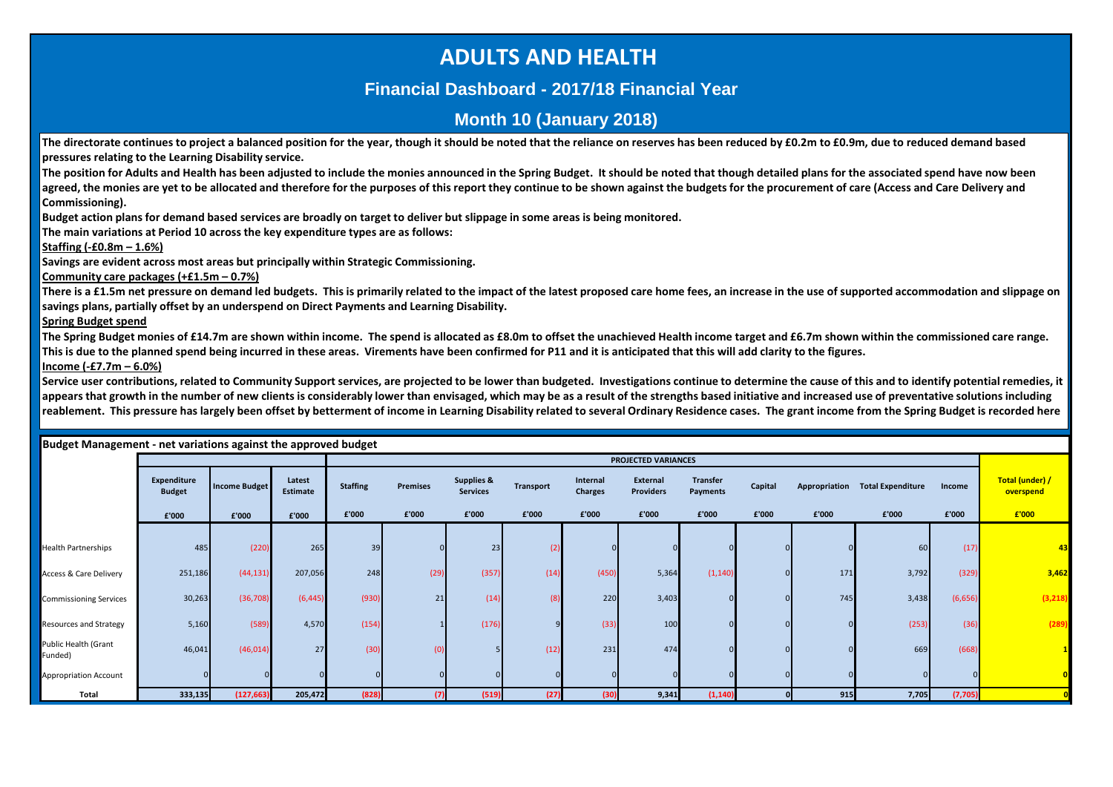## **ADULTS AND HEALTH**

## **Financial Dashboard - 2017/18 Financial Year**

## **Month 10 (January 2018)**

The directorate continues to project a balanced position for the year, though it should be noted that the reliance on reserves has been reduced by £0.2m to £0.9m, due to reduced demand based **pressures relating to the Learning Disability service.**

**The position for Adults and Health has been adjusted to include the monies announced in the Spring Budget. It should be noted that though detailed plans for the associated spend have now been**  agreed, the monies are yet to be allocated and therefore for the purposes of this report they continue to be shown against the budgets for the procurement of care (Access and Care Delivery and **Commissioning).**

**Budget action plans for demand based services are broadly on target to deliver but slippage in some areas is being monitored.**

**The main variations at Period 10 across the key expenditure types are as follows:**

**Staffing (-£0.8m – 1.6%)**

i

**Savings are evident across most areas but principally within Strategic Commissioning.**

**Community care packages (+£1.5m – 0.7%)**

**There is a £1.5m net pressure on demand led budgets. This is primarily related to the impact of the latest proposed care home fees, an increase in the use of supported accommodation and slippage on savings plans, partially offset by an underspend on Direct Payments and Learning Disability.**

### **Spring Budget spend**

The Spring Budget monies of £14.7m are shown within income. The spend is allocated as £8.0m to offset the unachieved Health income target and £6.7m shown within the commissioned care range. **This is due to the planned spend being incurred in these areas. Virements have been confirmed for P11 and it is anticipated that this will add clarity to the figures.**

**Income (-£7.7m – 6.0%)**

Service user contributions, related to Community Support services, are projected to be lower than budgeted. Investigations continue to determine the cause of this and to identify potential remedies, it **appears that growth in the number of new clients is considerably lower than envisaged, which may be as a result of the strengths based initiative and increased use of preventative solutions including reablement. This pressure has largely been offset by betterment of income in Learning Disability related to several Ordinary Residence cases. The grant income from the Spring Budget is recorded here** 

|                                   |                              |                      |                    |                 |                 |                                          |                  |                     | <b>PROJECTED VARIANCES</b>   |                             |         |       |                                 |         |                              |
|-----------------------------------|------------------------------|----------------------|--------------------|-----------------|-----------------|------------------------------------------|------------------|---------------------|------------------------------|-----------------------------|---------|-------|---------------------------------|---------|------------------------------|
|                                   |                              |                      |                    |                 |                 |                                          |                  |                     |                              |                             |         |       |                                 |         |                              |
|                                   | Expenditure<br><b>Budget</b> | <b>Income Budget</b> | Latest<br>Estimate | <b>Staffing</b> | <b>Premises</b> | <b>Supplies &amp;</b><br><b>Services</b> | <b>Transport</b> | Internal<br>Charges | External<br><b>Providers</b> | <b>Transfer</b><br>Payments | Capital |       | Appropriation Total Expenditure | Income  | Total (under) /<br>overspend |
|                                   | £'000                        | £'000                | £'000              | £'000           | £'000           | £'000                                    | £'000            | £'000               | £'000                        | £'000                       | £'000   | £'000 | £'000                           | £'000   | £'000                        |
|                                   |                              |                      |                    |                 |                 |                                          |                  |                     |                              |                             |         |       |                                 |         |                              |
| <b>Health Partnerships</b>        | 485                          | (220)                | 265                | 39              |                 | 23                                       | (2)              |                     |                              |                             |         |       | 60                              | (17)    | 43                           |
| <b>Access &amp; Care Delivery</b> | 251,186                      | (44, 131)            | 207,056            | 248             | (29)            | (357)                                    | (14)             | (450)               | 5,364                        | (1, 140)                    |         | 171   | 3,792                           | (329)   | 3,462                        |
| <b>Commissioning Services</b>     | 30,263                       | (36, 708)            | (6, 445)           | (930)           | 21              | (14)                                     | (8)              | 220                 | 3,403                        |                             |         | 745   | 3,438                           | (6,656) | (3, 218)                     |
| Resources and Strategy            | 5,160                        | (589)                | 4,570              | (154)           |                 | (176)                                    |                  | (33)                | 100                          |                             |         |       | (253)                           | (36)    | (289)                        |
| Public Health (Grant<br>Funded)   | 46,041                       | (46, 014)            | 27                 | (30)            |                 |                                          | (12)             | 231                 | 474                          |                             |         |       | 669                             | (668)   |                              |
| Appropriation Account             |                              |                      |                    |                 |                 |                                          |                  |                     |                              |                             |         |       |                                 |         |                              |
| Total                             | 333,135                      | (127, 663)           | 205,472            | (828)           | (7)             | (519)                                    | (27)             | (30)                | 9,341                        | (1, 140)                    |         | 915   | 7,705                           | (7,705) |                              |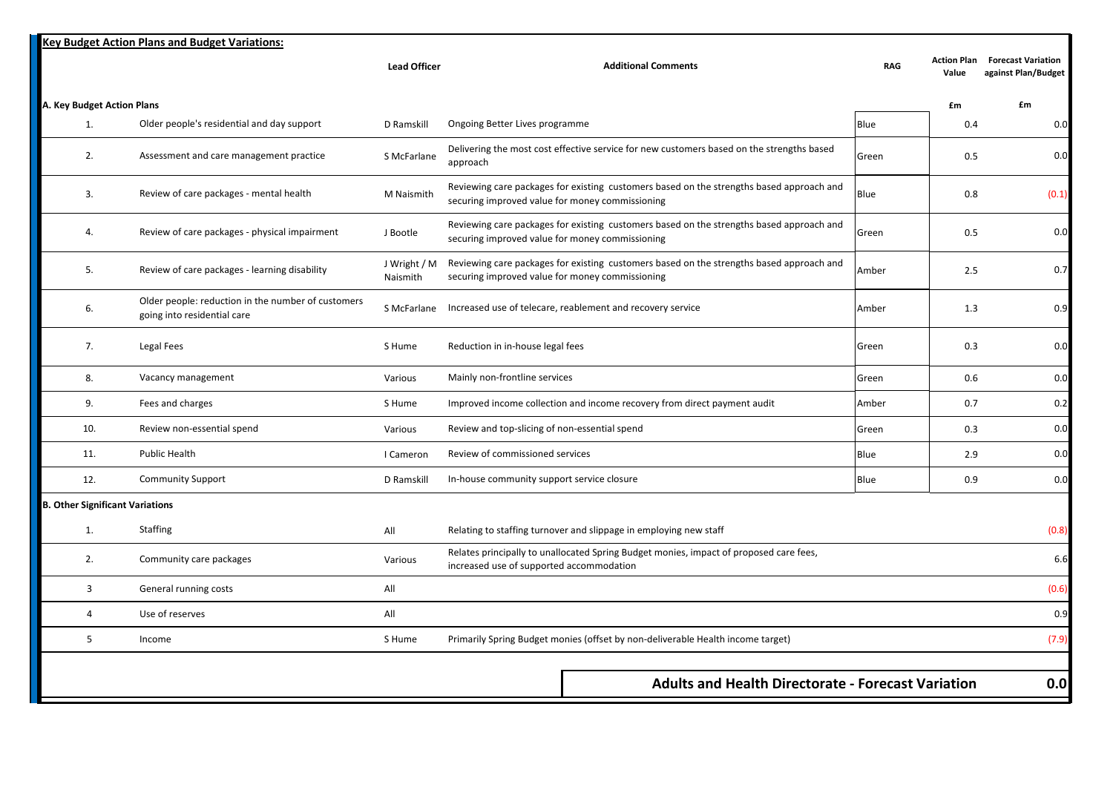|                                        | <b>Key Budget Action Plans and Budget Variations:</b>                             |                          |                                                                                                                                             |            |                             |                                                  |
|----------------------------------------|-----------------------------------------------------------------------------------|--------------------------|---------------------------------------------------------------------------------------------------------------------------------------------|------------|-----------------------------|--------------------------------------------------|
|                                        |                                                                                   | <b>Lead Officer</b>      | <b>Additional Comments</b>                                                                                                                  | <b>RAG</b> | <b>Action Plan</b><br>Value | <b>Forecast Variation</b><br>against Plan/Budget |
| A. Key Budget Action Plans             |                                                                                   |                          |                                                                                                                                             |            | £m                          | £m                                               |
| 1.                                     | Older people's residential and day support                                        | D Ramskill               | Ongoing Better Lives programme                                                                                                              | Blue       | 0.4                         | 0.0                                              |
| 2.                                     | Assessment and care management practice                                           | S McFarlane              | Delivering the most cost effective service for new customers based on the strengths based<br>approach                                       | Green      | 0.5                         | 0.0                                              |
| 3.                                     | Review of care packages - mental health                                           | M Naismith               | Reviewing care packages for existing customers based on the strengths based approach and<br>securing improved value for money commissioning | Blue       | 0.8                         | (0.1)                                            |
| 4.                                     | Review of care packages - physical impairment                                     | J Bootle                 | Reviewing care packages for existing customers based on the strengths based approach and<br>securing improved value for money commissioning | Green      | 0.5                         | 0.0                                              |
| 5.                                     | Review of care packages - learning disability                                     | J Wright / M<br>Naismith | Reviewing care packages for existing customers based on the strengths based approach and<br>securing improved value for money commissioning | Amber      | 2.5                         | 0.7                                              |
| 6.                                     | Older people: reduction in the number of customers<br>going into residential care |                          | S McFarlane Increased use of telecare, reablement and recovery service                                                                      | Amber      | 1.3                         | 0.9                                              |
| 7.                                     | Legal Fees                                                                        | S Hume                   | Reduction in in-house legal fees                                                                                                            | Green      | 0.3                         | 0.0                                              |
| 8.                                     | Vacancy management                                                                | Various                  | Mainly non-frontline services                                                                                                               | Green      | 0.6                         | 0.0                                              |
| 9.                                     | Fees and charges                                                                  | S Hume                   | Improved income collection and income recovery from direct payment audit                                                                    | Amber      | 0.7                         | 0.2                                              |
| 10.                                    | Review non-essential spend                                                        | Various                  | Review and top-slicing of non-essential spend                                                                                               | Green      | 0.3                         | 0.0                                              |
| 11.                                    | Public Health                                                                     | I Cameron                | Review of commissioned services                                                                                                             | Blue       | 2.9                         | 0.0                                              |
| 12.                                    | <b>Community Support</b>                                                          | D Ramskill               | In-house community support service closure                                                                                                  | Blue       | 0.9                         | 0.0                                              |
| <b>B. Other Significant Variations</b> |                                                                                   |                          |                                                                                                                                             |            |                             |                                                  |
| 1.                                     | <b>Staffing</b>                                                                   | All                      | Relating to staffing turnover and slippage in employing new staff                                                                           |            |                             | (0.8)                                            |
| 2.                                     | Community care packages                                                           | Various                  | Relates principally to unallocated Spring Budget monies, impact of proposed care fees,<br>increased use of supported accommodation          |            |                             | 6.6                                              |
| $\overline{3}$                         | General running costs                                                             | All                      |                                                                                                                                             |            |                             | (0.6)                                            |
| $\overline{4}$                         | Use of reserves                                                                   | All                      |                                                                                                                                             |            |                             | 0.9                                              |
| 5                                      | Income                                                                            | S Hume                   | Primarily Spring Budget monies (offset by non-deliverable Health income target)                                                             |            |                             | (7.9)                                            |
|                                        |                                                                                   |                          |                                                                                                                                             |            |                             |                                                  |
|                                        |                                                                                   |                          | <b>Adults and Health Directorate - Forecast Variation</b>                                                                                   |            |                             | 0.0                                              |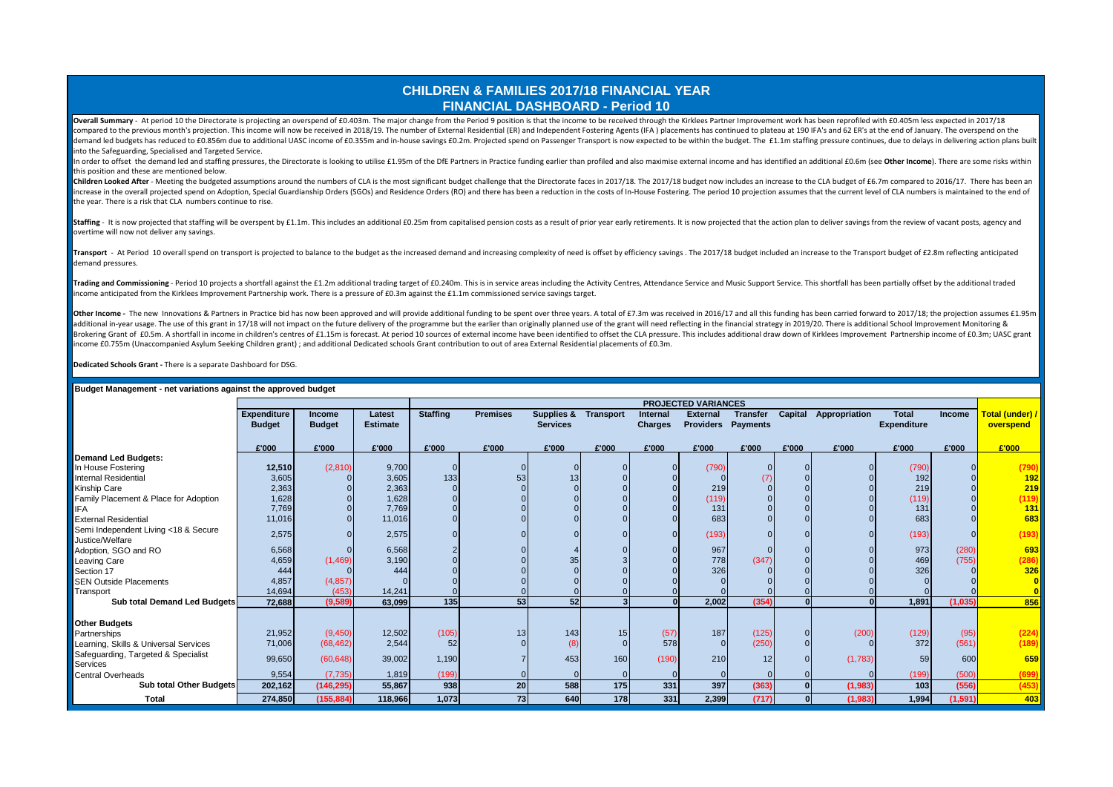## **CHILDREN & FAMILIES 2017/18 FINANCIAL YEAR FINANCIAL DASHBOARD - Period 10**

Overall Summary - At period 10 the Directorate is projecting an overspend of £0.403m. The major change from the Period 9 position is that the income to be received through the Kirklees Partner Improvement work has been rep compared to the previous month's projection. This income will now be received in 2018/19. The number of External Residential (ER) and Independent Fostering Agents (IFA) placements has continued to plateau at 190 IFA's and demand led budgets has reduced to £0.856m due to additional UASC income of £0.355m and in-house savings £0.2m. Projected spend on Passenger Transport is now expected to be within the budget. The £1.1m staffing pressure con into the Safeguarding, Specialised and Targeted Service.

In order to offset the demand led and staffing pressures, the Directorate is looking to utilise £1.95m of the DFE Partners in Practice funding earlier than profiled and also maximise external income and has identified an a this position and these are mentioned below.

Children Looked After - Meeting the budgeted assumptions around the numbers of CLA is the most significant budget challenge that the Directorate faces in 2017/18. The 2017/18 budget now includes an increase to the CLA budg increase in the overall projected spend on Adoption, Special Guardianship Orders (SGOs) and Residence Orders (RO) and there has been a reduction in the costs of In-House Fostering. The period 10 projection assumes that the the year. There is a risk that CLA numbers continue to rise.

Staffing - It is now projected that staffing will be overspent by £1.1m. This includes an additional £0.25m from capitalised pension costs as a result of prior year early retirements. It is now projected that the action pl overtime will now not deliver any savings.

Transport - At Period 10 overall spend on transport is projected to balance to the budget as the increased demand and increasing complexity of need is offset by efficiency savings. The 2017/18 budget included an increase t demand pressures.

Trading and Commissioning - Period 10 projects a shortfall against the £1.2m additional trading target of £0.240m. This is in service areas including the Activity Centres, Attendance Service and Music Support Service. This income anticipated from the Kirklees Improvement Partnership work. There is a pressure of £0.3m against the £1.1m commissioned service savings target.

Other Income - The new Innovations & Partners in Practice bid has now been approved and will provide additional funding to be spent over three years. A total of £7.3m was received in 2016/17 and all this funding has been c additional in-year usage. The use of this grant in 17/18 will not impact on the future delivery of the programme but the earlier than originally planned use of the grant will need reflecting in the financial strategy in 20 Brokering Grant of £0.5m, A shortfall in income in children's centres of £1.15m is forecast. At period 10 sources of external income have been identified to offset the CLA pressure. This includes additional draw down of Ki income £0.755m (Unaccompanied Asylum Seeking Children grant) ; and additional Dedicated schools Grant contribution to out of area External Residential placements of £0.3m.

**Dedicated Schools Grant -** There is a separate Dashboard for DSG.

|                                       |                    |               |                 |                 |                 |                       |                  |          | <b>PROJECTED VARIANCES</b> |                 |         |               |                    |          |                 |
|---------------------------------------|--------------------|---------------|-----------------|-----------------|-----------------|-----------------------|------------------|----------|----------------------------|-----------------|---------|---------------|--------------------|----------|-----------------|
|                                       | <b>Expenditure</b> | Income        | Latest          | <b>Staffing</b> | <b>Premises</b> | <b>Supplies &amp;</b> | <b>Transport</b> | Internal | <b>External</b>            | <b>Transfer</b> | Capital | Appropriation | <b>Total</b>       | Income   | Total (under) / |
|                                       | <b>Budget</b>      | <b>Budget</b> | <b>Estimate</b> |                 |                 | <b>Services</b>       |                  | Charges  | <b>Providers Payments</b>  |                 |         |               | <b>Expenditure</b> |          | overspend       |
|                                       |                    |               |                 |                 |                 |                       |                  |          |                            |                 |         |               |                    |          |                 |
|                                       | £'000              | £'000         | £'000           | £'000           | £'000           | £'000                 | £'000            | £'000    | £'000                      | £'000           | £'000   | £'000         | £'000              | £'000    | E'000           |
| <b>Demand Led Budgets:</b>            |                    |               |                 |                 |                 |                       |                  |          |                            |                 |         |               |                    |          |                 |
| In House Fostering                    | 12,510             | (2,810)       | 9,700           |                 |                 |                       |                  |          | (790)                      |                 |         |               | (790)              |          | (790)           |
| Internal Residential                  | 3,605              |               | 3,605           | 133             | 53              | 13                    |                  |          |                            | (7)             |         |               | 192                |          | 192             |
| Kinship Care                          | 2,363              |               | 2,363           |                 |                 |                       |                  |          | 219                        |                 |         |               | 219                |          | 219             |
| Family Placement & Place for Adoption | 1,628              |               | 1,628           |                 |                 |                       |                  |          | (119)                      |                 |         |               | (119)              |          | (119)           |
| <b>IFA</b>                            | 7,769              |               | 7,769           |                 |                 |                       |                  |          | 131                        |                 |         |               | 131                |          | 131             |
| <b>External Residential</b>           | 11,016             |               | 11,016          |                 |                 |                       |                  |          | 683                        |                 |         |               | 683                |          | 683             |
| Semi Independent Living <18 & Secure  | 2,575              |               | 2,575           |                 |                 |                       |                  |          | (193)                      |                 |         |               | (193)              |          | (193)           |
| Justice/Welfare                       |                    |               |                 |                 |                 |                       |                  |          |                            |                 |         |               |                    |          |                 |
| Adoption, SGO and RO                  | 6,568              |               | 6,568           |                 |                 |                       |                  |          | 967                        |                 |         |               | 973                | (280)    | 693             |
| Leaving Care                          | 4,659              | (1,469)       | 3,190           |                 |                 | 35                    |                  |          | 778                        | (347)           |         |               | 469                | (755)    | (286)           |
| Section 17                            | 444                |               | 444             |                 |                 |                       |                  |          | 326                        |                 |         |               | 326                |          | 326             |
| <b>SEN Outside Placements</b>         | 4,857              | (4, 857)      |                 |                 |                 |                       |                  |          |                            |                 |         |               |                    |          |                 |
| Transport                             | 14,694             | (453)         | 14,241          |                 |                 |                       |                  |          |                            |                 |         |               |                    |          |                 |
| Sub total Demand Led Budgets          | 72,688             | (9,589)       | 63,099          | 135             | 53              | 52                    |                  |          | 2,002                      | (354)           |         |               | 1,891              | (1,035)  | 856             |
|                                       |                    |               |                 |                 |                 |                       |                  |          |                            |                 |         |               |                    |          |                 |
| <b>Other Budgets</b>                  |                    |               |                 |                 |                 |                       |                  |          |                            |                 |         |               |                    |          |                 |
| Partnerships                          | 21,952             | (9,450)       | 12,502          | (105)           | 13              | 143                   | 15               | (57)     | 187                        | (125)           |         | (200)         | (129)              | (95)     | (224)           |
| Learning, Skills & Universal Services | 71,006             | (68, 462)     | 2,544           | 52              |                 | (8)                   | $\Omega$         | 578      | $\Omega$                   | (250)           |         |               | 372                | (561)    | (189)           |
| Safeguarding, Targeted & Specialist   | 99,650             | (60, 648)     | 39,002          | 1,190           |                 | 453                   | 160              | (190)    | 210                        | 12 <sub>1</sub> |         | (1,783)       | 59                 | 600      | 659             |
| Services                              |                    |               |                 |                 |                 |                       |                  |          |                            |                 |         |               |                    |          |                 |
| <b>Central Overheads</b>              | 9,554              | (7, 735)      | 1,819           | (199)           |                 |                       |                  |          |                            |                 |         |               | (199)              | (500)    | (699)           |
| Sub total Other Budgets               | 202,162            | (146, 295)    | 55,867          | 938             | 20              | 588                   | 175              | 331      | 397                        | (363)           |         | (1,983)       | 103                | (556)    | (453)           |
| <b>Total</b>                          | 274,850            | (155, 884)    | 118,966         | 1,073           | 73              | 640                   | 178              | 331      | 2,399                      | (717)           |         | (1,983)       | 1,994              | (1, 591) | 403             |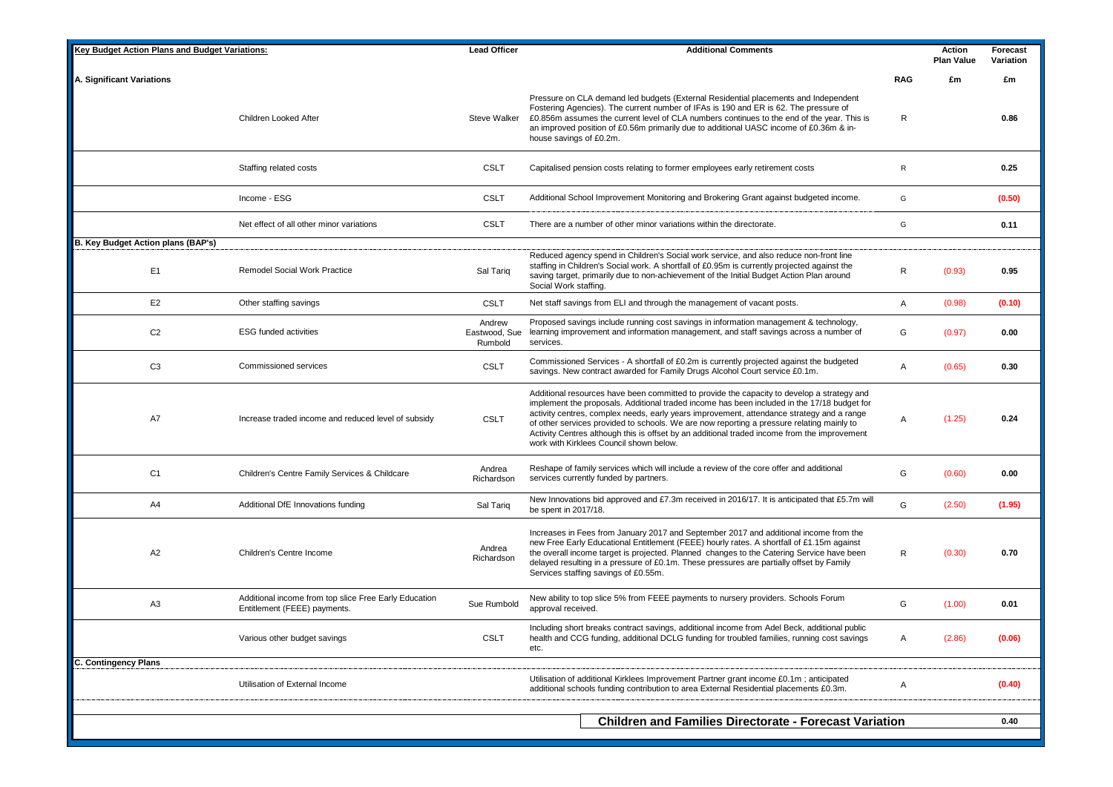| <b>Kev Budget Action Plans and Budget Variations:</b> |                                                                                       | <b>Lead Officer</b>                | <b>Additional Comments</b>                                                                                                                                                                                                                                                                                                                                                                                                                                                                                                     |            | Action<br><b>Plan Value</b> | Forecast<br>Variation |
|-------------------------------------------------------|---------------------------------------------------------------------------------------|------------------------------------|--------------------------------------------------------------------------------------------------------------------------------------------------------------------------------------------------------------------------------------------------------------------------------------------------------------------------------------------------------------------------------------------------------------------------------------------------------------------------------------------------------------------------------|------------|-----------------------------|-----------------------|
| A. Significant Variations                             |                                                                                       |                                    |                                                                                                                                                                                                                                                                                                                                                                                                                                                                                                                                | <b>RAG</b> | £m                          | £m                    |
|                                                       | Children Looked After                                                                 | Steve Walker                       | Pressure on CLA demand led budgets (External Residential placements and Independent<br>Fostering Agencies). The current number of IFAs is 190 and ER is 62. The pressure of<br>£0.856m assumes the current level of CLA numbers continues to the end of the year. This is<br>an improved position of £0.56m primarily due to additional UASC income of £0.36m & in-<br>house savings of £0.2m.                                                                                                                                 | R          |                             | 0.86                  |
|                                                       | Staffing related costs                                                                | <b>CSLT</b>                        | Capitalised pension costs relating to former employees early retirement costs                                                                                                                                                                                                                                                                                                                                                                                                                                                  | R          |                             | 0.25                  |
|                                                       | Income - ESG                                                                          | <b>CSLT</b>                        | Additional School Improvement Monitoring and Brokering Grant against budgeted income.                                                                                                                                                                                                                                                                                                                                                                                                                                          | G          |                             | (0.50)                |
|                                                       | Net effect of all other minor variations                                              | <b>CSLT</b>                        | There are a number of other minor variations within the directorate.                                                                                                                                                                                                                                                                                                                                                                                                                                                           | G          |                             | 0.11                  |
| B. Key Budget Action plans (BAP's)                    |                                                                                       |                                    |                                                                                                                                                                                                                                                                                                                                                                                                                                                                                                                                |            |                             |                       |
| E <sub>1</sub>                                        | <b>Remodel Social Work Practice</b>                                                   | Sal Tariq                          | Reduced agency spend in Children's Social work service, and also reduce non-front line<br>staffing in Children's Social work. A shortfall of £0.95m is currently projected against the<br>saving target, primarily due to non-achievement of the Initial Budget Action Plan around<br>Social Work staffing.                                                                                                                                                                                                                    | R          | (0.93)                      | 0.95                  |
| E <sub>2</sub>                                        | Other staffing savings                                                                | <b>CSLT</b>                        | Net staff savings from ELI and through the management of vacant posts.                                                                                                                                                                                                                                                                                                                                                                                                                                                         | Α          | (0.98)                      | (0.10)                |
| C <sub>2</sub>                                        | <b>ESG funded activities</b>                                                          | Andrew<br>Eastwood, Sue<br>Rumbold | Proposed savings include running cost savings in information management & technology,<br>learning improvement and information management, and staff savings across a number of<br>services.                                                                                                                                                                                                                                                                                                                                    | G          | (0.97)                      | 0.00                  |
| C <sub>3</sub>                                        | Commissioned services                                                                 | <b>CSLT</b>                        | Commissioned Services - A shortfall of £0.2m is currently projected against the budgeted<br>savings. New contract awarded for Family Drugs Alcohol Court service £0.1m.                                                                                                                                                                                                                                                                                                                                                        | A          | (0.65)                      | 0.30                  |
| A7                                                    | Increase traded income and reduced level of subsidy                                   | <b>CSLT</b>                        | Additional resources have been committed to provide the capacity to develop a strategy and<br>implement the proposals. Additional traded income has been included in the 17/18 budget for<br>activity centres, complex needs, early years improvement, attendance strategy and a range<br>of other services provided to schools. We are now reporting a pressure relating mainly to<br>Activity Centres although this is offset by an additional traded income from the improvement<br>work with Kirklees Council shown below. | Α          | (1.25)                      | 0.24                  |
| C <sub>1</sub>                                        | Children's Centre Family Services & Childcare                                         | Andrea<br>Richardson               | Reshape of family services which will include a review of the core offer and additional<br>services currently funded by partners.                                                                                                                                                                                                                                                                                                                                                                                              | G          | (0.60)                      | 0.00                  |
| A4                                                    | Additional DfE Innovations funding                                                    | Sal Tariq                          | New Innovations bid approved and £7.3m received in 2016/17. It is anticipated that £5.7m will<br>be spent in 2017/18.                                                                                                                                                                                                                                                                                                                                                                                                          | G          | (2.50)                      | (1.95)                |
| A2                                                    | Children's Centre Income                                                              | Andrea<br>Richardson               | Increases in Fees from January 2017 and September 2017 and additional income from the<br>new Free Early Educational Entitlement (FEEE) hourly rates. A shortfall of £1.15m against<br>the overall income target is projected. Planned changes to the Catering Service have been<br>delayed resulting in a pressure of £0.1m. These pressures are partially offset by Family<br>Services staffing savings of £0.55m.                                                                                                            | R          | (0.30)                      | 0.70                  |
| A <sub>3</sub>                                        | Additional income from top slice Free Early Education<br>Entitlement (FEEE) payments. | Sue Rumbold                        | New ability to top slice 5% from FEEE payments to nursery providers. Schools Forum<br>approval received.                                                                                                                                                                                                                                                                                                                                                                                                                       | G          | (1.00)                      | 0.01                  |
|                                                       | Various other budget savings                                                          | <b>CSLT</b>                        | Including short breaks contract savings, additional income from Adel Beck, additional public<br>health and CCG funding, additional DCLG funding for troubled families, running cost savings<br>etc.                                                                                                                                                                                                                                                                                                                            | Α          | (2.86)                      | (0.06)                |
| <b>C. Contingency Plans</b>                           |                                                                                       |                                    |                                                                                                                                                                                                                                                                                                                                                                                                                                                                                                                                |            |                             |                       |
|                                                       | Utilisation of External Income                                                        |                                    | Utilisation of additional Kirklees Improvement Partner grant income £0.1m; anticipated<br>additional schools funding contribution to area External Residential placements £0.3m.                                                                                                                                                                                                                                                                                                                                               | Α          |                             | (0.40)                |
|                                                       |                                                                                       |                                    | <b>Children and Families Directorate - Forecast Variation</b>                                                                                                                                                                                                                                                                                                                                                                                                                                                                  |            |                             | 0.40                  |
|                                                       |                                                                                       |                                    |                                                                                                                                                                                                                                                                                                                                                                                                                                                                                                                                |            |                             |                       |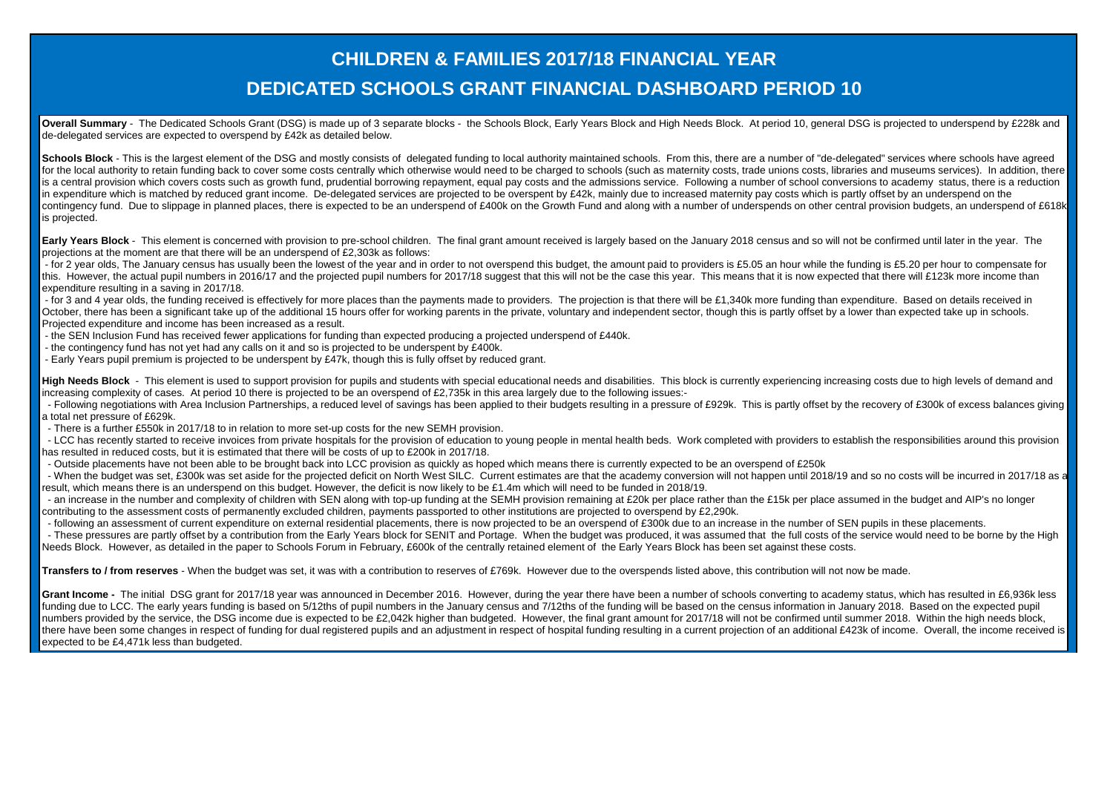## **DEDICATED SCHOOLS GRANT FINANCIAL DASHBOARD PERIOD 10 CHILDREN & FAMILIES 2017/18 FINANCIAL YEAR**

Overall Summary - The Dedicated Schools Grant (DSG) is made up of 3 separate blocks - the Schools Block, Early Years Block and High Needs Block. At period 10, general DSG is projected to underspend by £228k and de-delegated services are expected to overspend by £42k as detailed below.

Schools Block - This is the largest element of the DSG and mostly consists of delegated funding to local authority maintained schools. From this, there are a number of "de-delegated" services where schools have agreed for the local authority to retain funding back to cover some costs centrally which otherwise would need to be charged to schools (such as maternity costs, trade unions costs, libraries and museums services). In addition, t is a central provision which covers costs such as growth fund, prudential borrowing repayment, equal pay costs and the admissions service. Following a number of school conversions to academy status, there is a reduction in expenditure which is matched by reduced grant income. De-delegated services are projected to be overspent by £42k, mainly due to increased maternity pay costs which is partly offset by an underspend on the contingency fund. Due to slippage in planned places, there is expected to be an underspend of £400k on the Growth Fund and along with a number of underspends on other central provision budgets, an underspend of £618k is projected.

Early Years Block - This element is concerned with provision to pre-school children. The final grant amount received is largely based on the January 2018 census and so will not be confirmed until later in the year. The projections at the moment are that there will be an underspend of £2,303k as follows:

- for 2 year olds. The January census has usually been the lowest of the year and in order to not overspend this budget, the amount paid to providers is £5.05 an hour while the funding is £5.20 per hour to compensate for this. However, the actual pupil numbers in 2016/17 and the projected pupil numbers for 2017/18 suggest that this will not be the case this year. This means that it is now expected that there will £123k more income than expenditure resulting in a saving in 2017/18.

- for 3 and 4 year olds, the funding received is effectively for more places than the payments made to providers. The projection is that there will be £1,340k more funding than expenditure. Based on details received in October, there has been a significant take up of the additional 15 hours offer for working parents in the private, voluntary and independent sector, though this is partly offset by a lower than expected take up in schools. Projected expenditure and income has been increased as a result.

- the SEN Inclusion Fund has received fewer applications for funding than expected producing a projected underspend of £440k.

- the contingency fund has not yet had any calls on it and so is projected to be underspent by £400k.
- Early Years pupil premium is projected to be underspent by £47k, though this is fully offset by reduced grant.

High Needs Block - This element is used to support provision for pupils and students with special educational needs and disabilities. This block is currently experiencing increasing costs due to high levels of demand and increasing complexity of cases. At period 10 there is projected to be an overspend of £2,735k in this area largely due to the following issues:-

- Following negotiations with Area Inclusion Partnerships, a reduced level of savings has been applied to their budgets resulting in a pressure of £929k. This is partly offset by the recovery of £300k of excess balances gi a total net pressure of £629k.
- There is a further £550k in 2017/18 to in relation to more set-up costs for the new SEMH provision.

- LCC has recently started to receive invoices from private hospitals for the provision of education to young people in mental health beds. Work completed with providers to establish the responsibilities around this provis has resulted in reduced costs, but it is estimated that there will be costs of up to £200k in 2017/18.

- Outside placements have not been able to be brought back into LCC provision as quickly as hoped which means there is currently expected to be an overspend of £250k

- When the budget was set, £300k was set aside for the projected deficit on North West SILC. Current estimates are that the academy conversion will not happen until 2018/19 and so no costs will be incurred in 2017/18 as a result, which means there is an underspend on this budget. However, the deficit is now likely to be £1.4m which will need to be funded in 2018/19.

- an increase in the number and complexity of children with SEN along with top-up funding at the SEMH provision remaining at £20k per place rather than the £15k per place assumed in the budget and AIP's no longer contributing to the assessment costs of permanently excluded children, payments passported to other institutions are projected to overspend by £2,290k.

- following an assessment of current expenditure on external residential placements, there is now projected to be an overspend of £300k due to an increase in the number of SEN pupils in these placements.

- These pressures are partly offset by a contribution from the Early Years block for SENIT and Portage. When the budget was produced, it was assumed that the full costs of the service would need to be borne by the High Needs Block. However, as detailed in the paper to Schools Forum in February, £600k of the centrally retained element of the Early Years Block has been set against these costs.

**Transfers to / from reserves** - When the budget was set, it was with a contribution to reserves of £769k. However due to the overspends listed above, this contribution will not now be made.

Grant Income - The initial DSG grant for 2017/18 year was announced in December 2016. However, during the year there have been a number of schools converting to academy status, which has resulted in £6,936k less funding due to LCC. The early years funding is based on 5/12ths of pupil numbers in the January census and 7/12ths of the funding will be based on the census information in January 2018. Based on the expected pupil numbers provided by the service, the DSG income due is expected to be £2,042k higher than budgeted. However, the final grant amount for 2017/18 will not be confirmed until summer 2018. Within the high needs block, there have been some changes in respect of funding for dual registered pupils and an adjustment in respect of hospital funding resulting in a current projection of an additional £423k of income. Overall, the income receive expected to be £4,471k less than budgeted.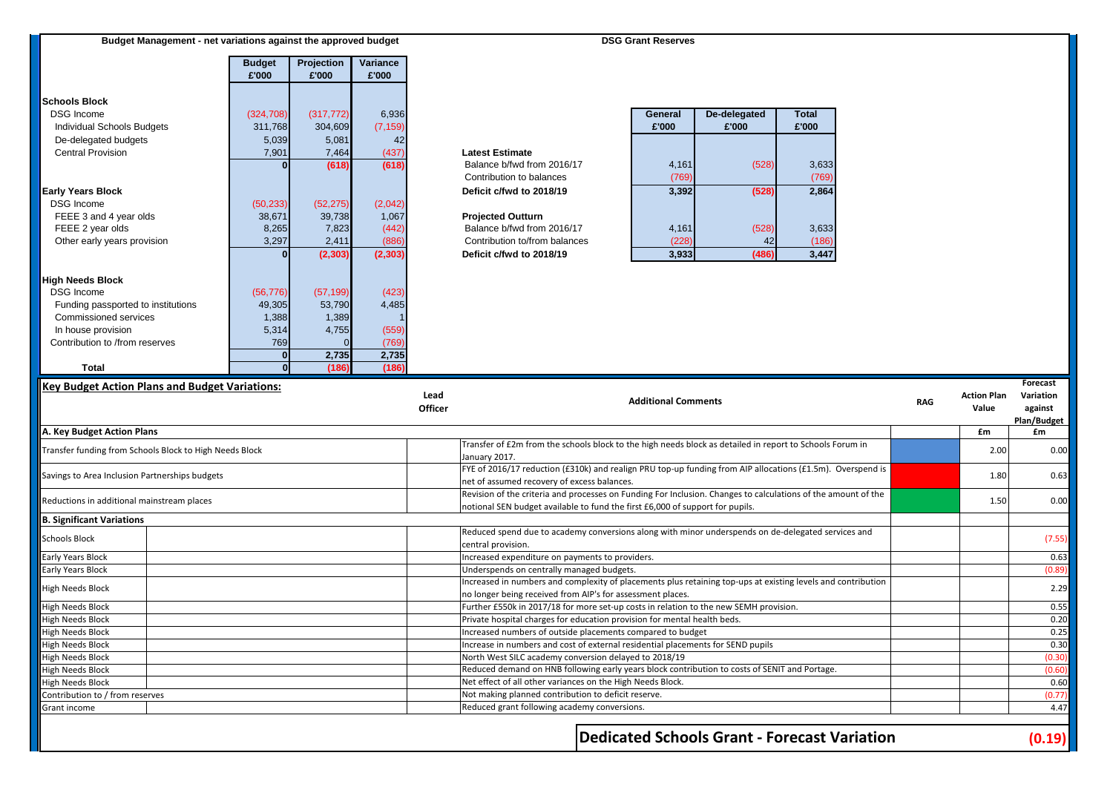| Budget Management - net variations against the approved budget | <b>DSG Grant Reserves</b> |
|----------------------------------------------------------------|---------------------------|
|                                                                |                           |

|                                    | <b>Budget</b> | Projection | Variance |
|------------------------------------|---------------|------------|----------|
|                                    | £'000         | £'000      | £'000    |
|                                    |               |            |          |
| <b>Schools Block</b>               |               |            |          |
| <b>DSG Income</b>                  | (324, 708)    | (317, 772) | 6,936    |
| <b>Individual Schools Budgets</b>  | 311,768       | 304,609    | (7, 159) |
| De-delegated budgets               | 5,039         | 5,081      | 42       |
| <b>Central Provision</b>           | 7,901         | 7,464      | (437)    |
|                                    |               | (618)      | (618)    |
|                                    |               |            |          |
| <b>Early Years Block</b>           |               |            |          |
| <b>DSG Income</b>                  | (50, 233)     | (52, 275)  | (2,042)  |
| FEEE 3 and 4 year olds             | 38,671        | 39,738     | 1,067    |
| FEEE 2 year olds                   | 8,265         | 7,823      | (442)    |
| Other early years provision        | 3,297         | 2,411      | (886)    |
|                                    |               | (2, 303)   | (2, 303) |
|                                    |               |            |          |
| <b>High Needs Block</b>            |               |            |          |
| <b>DSG Income</b>                  | (56, 776)     | (57, 199)  | (423)    |
| Funding passported to institutions | 49,305        | 53,790     | 4,485    |
| Commissioned services              | 1,388         | 1,389      |          |
| In house provision                 | 5,314         | 4,755      | (559)    |
| Contribution to /from reserves     | 769           |            | (769)    |
|                                    |               | 2,735      | 2,735    |
| Total                              |               | (186)      | (186)    |

| General<br>£'000 | De-delegated<br>£'000 | <b>Total</b><br>£'000 |
|------------------|-----------------------|-----------------------|
|                  |                       |                       |
| 4,161            | (528)                 | 3,633                 |
| (769)            |                       | (769)                 |
| 3,392            | (528)                 | 2,864                 |
|                  |                       |                       |
|                  |                       |                       |
| 4,161            | (528)                 | 3,633                 |
| 228)             | 42                    | (186)                 |
| 3,933            | (486)                 | 3,447                 |

### **Key Budget Action Plans and Budget Variations:**

| <b>Key Budget Action Plans and Budget Variations:</b>   | Lead<br>Officer | <b>Additional Comments</b>                                                                                                                                                                     | <b>RAG</b> | <b>Action Plan</b><br>Value | Forecast<br>Variation<br>against |
|---------------------------------------------------------|-----------------|------------------------------------------------------------------------------------------------------------------------------------------------------------------------------------------------|------------|-----------------------------|----------------------------------|
|                                                         |                 |                                                                                                                                                                                                |            |                             | Plan/Budget                      |
| A. Key Budget Action Plans                              |                 |                                                                                                                                                                                                |            | £m                          | £m                               |
| Transfer funding from Schools Block to High Needs Block |                 | Transfer of £2m from the schools block to the high needs block as detailed in report to Schools Forum in<br>January 2017.                                                                      |            | 2.00                        | 0.00                             |
| Savings to Area Inclusion Partnerships budgets          |                 | FYE of 2016/17 reduction (£310k) and realign PRU top-up funding from AIP allocations (£1.5m). Overspend is<br>net of assumed recovery of excess balances.                                      |            | 1.80                        | 0.63                             |
| Reductions in additional mainstream places              |                 | Revision of the criteria and processes on Funding For Inclusion. Changes to calculations of the amount of the<br>notional SEN budget available to fund the first £6,000 of support for pupils. |            | 1.50                        | 0.00                             |
| <b>B. Significant Variations</b>                        |                 |                                                                                                                                                                                                |            |                             |                                  |
| <b>Schools Block</b>                                    |                 | Reduced spend due to academy conversions along with minor underspends on de-delegated services and<br>central provision.                                                                       |            |                             | (7.55)                           |
| Early Years Block                                       |                 | Increased expenditure on payments to providers.                                                                                                                                                |            |                             | 0.63                             |
| <b>Early Years Block</b>                                |                 | Underspends on centrally managed budgets.                                                                                                                                                      |            |                             | (0.89)                           |
| <b>High Needs Block</b>                                 |                 | Increased in numbers and complexity of placements plus retaining top-ups at existing levels and contribution<br>no longer being received from AIP's for assessment places.                     |            |                             | 2.29                             |
| <b>High Needs Block</b>                                 |                 | Further £550k in 2017/18 for more set-up costs in relation to the new SEMH provision.                                                                                                          |            |                             | 0.55                             |
| <b>High Needs Block</b>                                 |                 | Private hospital charges for education provision for mental health beds.                                                                                                                       |            |                             | 0.20                             |
| <b>High Needs Block</b>                                 |                 | Increased numbers of outside placements compared to budget                                                                                                                                     |            |                             | 0.25                             |
| <b>High Needs Block</b>                                 |                 | Increase in numbers and cost of external residential placements for SEND pupils                                                                                                                |            |                             | 0.30                             |
| <b>High Needs Block</b>                                 |                 | North West SILC academy conversion delayed to 2018/19                                                                                                                                          |            |                             | (0.30)                           |
| <b>High Needs Block</b>                                 |                 | Reduced demand on HNB following early years block contribution to costs of SENIT and Portage.                                                                                                  |            |                             | (0.60)                           |
| <b>High Needs Block</b>                                 |                 | Net effect of all other variances on the High Needs Block.                                                                                                                                     |            |                             | 0.60                             |
| Contribution to / from reserves                         |                 | Not making planned contribution to deficit reserve.                                                                                                                                            |            |                             | (0.77)                           |
| Grant income                                            |                 | Reduced grant following academy conversions.                                                                                                                                                   |            |                             | 4.47                             |
|                                                         |                 | <b>Dedicated Schools Grant - Forecast Variation</b>                                                                                                                                            |            |                             | (0.19)                           |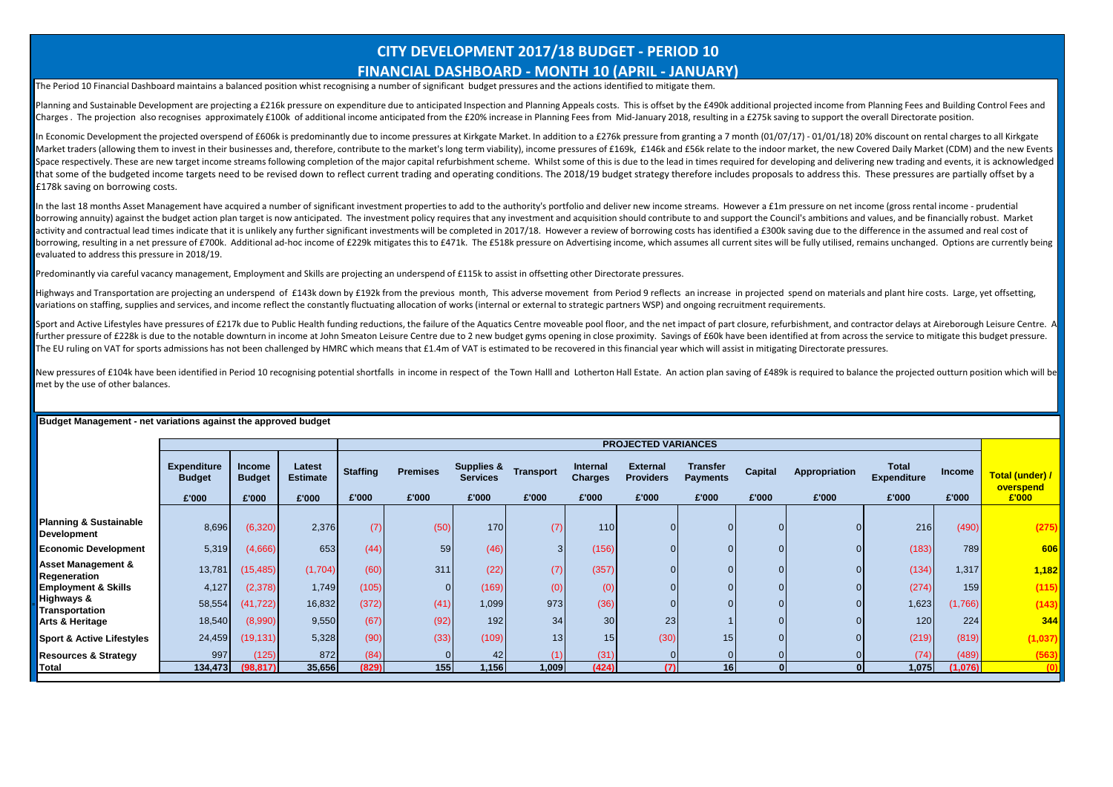## **CITY DEVELOPMENT 2017/18 BUDGET - PERIOD 10 FINANCIAL DASHBOARD - MONTH 10 (APRIL - JANUARY)**

The Period 10 Financial Dashboard maintains a balanced position whist recognising a number of significant budget pressures and the actions identified to mitigate them.

Planning and Sustainable Development are projecting a £216k pressure on expenditure due to anticipated Inspection and Planning Appeals costs. This is offset by the £490k additional projected income from Planning Fees and B Charges. The projection also recognises approximately £100k of additional income anticipated from the £20% increase in Planning Fees from Mid-January 2018, resulting in a £275k saving to support the overall Directorate pos

In Economic Development the projected overspend of £606k is predominantly due to income pressures at Kirkgate Market. In addition to a £276k pressure from granting a 7 month (01/07/17) - 01/01/18) 20% discount on rental ch Market traders (allowing them to invest in their businesses and, therefore, contribute to the market's long term viability), income pressures of £169k. £146k and £56k relate to the indoor market, the new Covered Daily Mark Space respectively. These are new target income streams following completion of the maior capital refurbishment scheme. Whilst some of this is due to the lead in times required for developing and delivering new trading and that some of the budgeted income targets need to be revised down to reflect current trading and operating conditions. The 2018/19 budget strategy therefore includes proposals to address this. These pressures are partially **E178k saving on borrowing costs.** 

In the last 18 months Asset Management have acquired a number of significant investment properties to add to the authority's portfolio and deliver new income streams. However a £1m pressure on net income (gross rental inco borrowing annuity) against the budget action plan target is now anticipated. The investment policy requires that any investment and acquisition should contribute to and support the Council's ambitions and values, and be fi activity and contractual lead times indicate that it is unlikely any further significant investments will be completed in 2017/18. However a review of borrowing costs has identified a £300k saying due to the difference in borrowing, resulting in a net pressure of £700k. Additional ad-hoc income of £229k mitigates this to £471k. The £518k pressure on Advertising income, which assumes all current sites will be fully utilised, remains unchange evaluated to address this pressure in 2018/19.

Predominantly via careful vacancy management, Employment and Skills are projecting an underspend of £115k to assist in offsetting other Directorate pressures.

Highways and Transportation are projecting an underspend of £143k down by £192k from the previous month, This adverse movement from Period 9 reflects an increase in projected spend on materials and plant hire costs. Large, variations on staffing, supplies and services, and income reflect the constantly fluctuating allocation of works (internal or external to strategic partners WSP) and ongoing recruitment requirements.

Sport and Active Lifestyles have pressures of £217k due to Public Health funding reductions, the failure of the Aquatics Centre moveable pool floor, and the net impact of part closure, refurbishment, and contractor delays further pressure of £228k is due to the notable downturn in income at John Smeaton Leisure Centre due to 2 new budget gyms opening in close proximity. Savings of £60k have been identified at from across the service to miti The EU ruling on VAT for sports admissions has not been challenged by HMRC which means that £1.4m of VAT is estimated to be recovered in this financial year which will assist in mitigating Directorate pressures.

New pressures of £104k have been identified in Period 10 recognising potential shortfalls, in income in respect of the Town Halll and Lotherton Hall Estate. An action plan saving of £489k is required to balance the project met by the use of other balances.

|                                                         |                                              |                                         |                                    |                          |                          |                                                   |                    |                                     | <b>PROJECTED VARIANCES</b>                   |                                             |                  |                        |                                             |                        |                                       |
|---------------------------------------------------------|----------------------------------------------|-----------------------------------------|------------------------------------|--------------------------|--------------------------|---------------------------------------------------|--------------------|-------------------------------------|----------------------------------------------|---------------------------------------------|------------------|------------------------|---------------------------------------------|------------------------|---------------------------------------|
|                                                         | <b>Expenditure</b><br><b>Budget</b><br>£'000 | <b>Income</b><br><b>Budget</b><br>£'000 | Latest<br><b>Estimate</b><br>£'000 | <b>Staffing</b><br>£'000 | <b>Premises</b><br>£'000 | <b>Supplies &amp;</b><br><b>Services</b><br>£'000 | Transport<br>£'000 | Internal<br><b>Charges</b><br>£'000 | <b>External</b><br><b>Providers</b><br>£'000 | <b>Transfer</b><br><b>Payments</b><br>£'000 | Capital<br>£'000 | Appropriation<br>£'000 | <b>Total</b><br><b>Expenditure</b><br>£'000 | <b>Income</b><br>£'000 | Total (under) /<br>overspend<br>£'000 |
|                                                         |                                              |                                         |                                    |                          |                          |                                                   |                    |                                     |                                              |                                             |                  |                        |                                             |                        |                                       |
| <b>Planning &amp; Sustainable</b><br><b>Development</b> | 8,696                                        | (6,320)                                 | 2,376                              | (7)                      | (50)                     | 170                                               | (7)                | 110                                 | $\overline{0}$                               |                                             |                  | $\Omega$               | 216                                         | (490)                  | (275)                                 |
| <b>Economic Development</b>                             | 5,319                                        | (4,666)                                 | 653                                | (44)                     | 59                       | (46)                                              | 3 <sup>l</sup>     | (156)                               | $\overline{0}$                               |                                             |                  | $\Omega$               | (183)                                       | 789                    | 606                                   |
| <b>Asset Management &amp;</b><br>Regeneration           | 13,781                                       | (15, 485)                               | (1,704)                            | (60)                     | 311                      | (22)                                              | (7)                | (357)                               | $\overline{0}$                               |                                             |                  |                        | (134)                                       | 1,317                  | 1,182                                 |
| <b>Employment &amp; Skills</b>                          | 4,127                                        | (2,378)                                 | 1,749                              | (105)                    |                          | (169)                                             | (0)                | (0)                                 | $\overline{0}$                               |                                             |                  |                        | (274)                                       | 159                    | (115)                                 |
| <b>Highways &amp;</b><br><b>Transportation</b>          | 58,554                                       | (41, 722)                               | 16,832                             | (372)                    | (41)                     | 1,099                                             | 973                | (36)                                | $\overline{0}$                               |                                             |                  |                        | 1,623                                       | (1,766)                | (143)                                 |
| Arts & Heritage                                         | 18,540                                       | (8,990)                                 | 9,550                              | (67)                     | (92)                     | 192                                               | 34                 | 30                                  | 23                                           |                                             |                  |                        | 120                                         | 224                    | 344                                   |
| <b>Sport &amp; Active Lifestyles</b>                    | 24,459                                       | (19, 131)                               | 5,328                              | (90)                     | (33)                     | (109)                                             | 13 <sup>1</sup>    | 15                                  | (30)                                         | 15 <sub>1</sub>                             |                  |                        | (219)                                       | (819)                  | (1,037)                               |
| <b>Resources &amp; Strategy</b>                         | 997                                          | (125)                                   | 872                                | (84)                     |                          | 42                                                | (1)                | (31)                                |                                              |                                             |                  |                        | (74)                                        | (489)                  | (563)                                 |
| Total                                                   | 134,473                                      | (98, 817)                               | 35,656                             | (829)                    | 155                      | 1,156                                             | 1,009              | (424)                               | (7)                                          | 16                                          |                  |                        | 1,075                                       | (1,076)                | (0)                                   |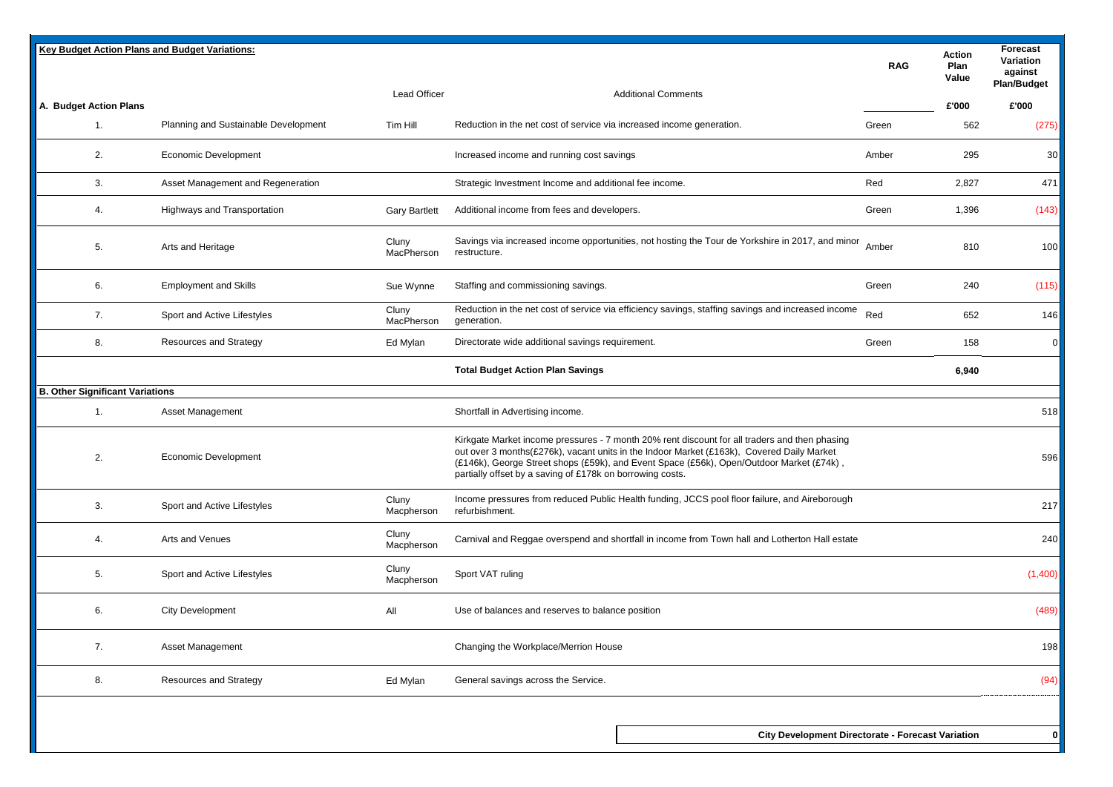| <b>Key Budget Action Plans and Budget Variations:</b> |                                      |                      |                                                                                                                                                                                                                                                                                                                                                     | <b>RAG</b> | Action<br>Plan<br>Value | Forecast<br>Variation<br>against<br><b>Plan/Budget</b> |
|-------------------------------------------------------|--------------------------------------|----------------------|-----------------------------------------------------------------------------------------------------------------------------------------------------------------------------------------------------------------------------------------------------------------------------------------------------------------------------------------------------|------------|-------------------------|--------------------------------------------------------|
| A. Budget Action Plans                                |                                      | <b>Lead Officer</b>  | <b>Additional Comments</b>                                                                                                                                                                                                                                                                                                                          |            | £'000                   | £'000                                                  |
| 1.                                                    | Planning and Sustainable Development | Tim Hill             | Reduction in the net cost of service via increased income generation.                                                                                                                                                                                                                                                                               | Green      | 562                     | (275)                                                  |
| 2.                                                    | <b>Economic Development</b>          |                      | Increased income and running cost savings                                                                                                                                                                                                                                                                                                           | Amber      | 295                     | 30                                                     |
| 3.                                                    | Asset Management and Regeneration    |                      | Strategic Investment Income and additional fee income.                                                                                                                                                                                                                                                                                              | Red        | 2,827                   | 471                                                    |
| 4.                                                    | Highways and Transportation          | <b>Gary Bartlett</b> | Additional income from fees and developers.                                                                                                                                                                                                                                                                                                         | Green      | 1,396                   | (143)                                                  |
| 5.                                                    | Arts and Heritage                    | Cluny<br>MacPherson  | Savings via increased income opportunities, not hosting the Tour de Yorkshire in 2017, and minor<br>restructure.                                                                                                                                                                                                                                    | Amber      | 810                     | 100                                                    |
| 6.                                                    | <b>Employment and Skills</b>         | Sue Wynne            | Staffing and commissioning savings.                                                                                                                                                                                                                                                                                                                 | Green      | 240                     | (115)                                                  |
| 7.                                                    | Sport and Active Lifestyles          | Cluny<br>MacPherson  | Reduction in the net cost of service via efficiency savings, staffing savings and increased income<br>generation.                                                                                                                                                                                                                                   | Red        | 652                     | 146                                                    |
| 8.                                                    | <b>Resources and Strategy</b>        | Ed Mylan             | Directorate wide additional savings requirement.                                                                                                                                                                                                                                                                                                    | Green      | 158                     | $\mathbf{0}$                                           |
|                                                       |                                      |                      | <b>Total Budget Action Plan Savings</b>                                                                                                                                                                                                                                                                                                             |            | 6,940                   |                                                        |
| <b>B. Other Significant Variations</b>                |                                      |                      |                                                                                                                                                                                                                                                                                                                                                     |            |                         |                                                        |
| 1.                                                    | Asset Management                     |                      | Shortfall in Advertising income.                                                                                                                                                                                                                                                                                                                    |            |                         | 518                                                    |
| 2.                                                    | <b>Economic Development</b>          |                      | Kirkgate Market income pressures - 7 month 20% rent discount for all traders and then phasing<br>out over 3 months(£276k), vacant units in the Indoor Market (£163k), Covered Daily Market<br>(£146k), George Street shops (£59k), and Event Space (£56k), Open/Outdoor Market (£74k),<br>partially offset by a saving of £178k on borrowing costs. |            |                         | 596                                                    |
| 3.                                                    | Sport and Active Lifestyles          | Cluny<br>Macpherson  | Income pressures from reduced Public Health funding, JCCS pool floor failure, and Aireborough<br>refurbishment.                                                                                                                                                                                                                                     |            |                         | 217                                                    |
| 4.                                                    | Arts and Venues                      | Cluny<br>Macpherson  | Carnival and Reggae overspend and shortfall in income from Town hall and Lotherton Hall estate                                                                                                                                                                                                                                                      |            |                         | 240                                                    |
| 5.                                                    | Sport and Active Lifestyles          | Cluny<br>Macpherson  | Sport VAT ruling                                                                                                                                                                                                                                                                                                                                    |            |                         | (1,400)                                                |
| 6.                                                    | <b>City Development</b>              | All                  | Use of balances and reserves to balance position                                                                                                                                                                                                                                                                                                    |            |                         | (489)                                                  |
| 7.                                                    | Asset Management                     |                      | Changing the Workplace/Merrion House                                                                                                                                                                                                                                                                                                                |            |                         | 198                                                    |
| 8.                                                    | <b>Resources and Strategy</b>        | Ed Mylan             | General savings across the Service.                                                                                                                                                                                                                                                                                                                 |            |                         | (94)                                                   |
|                                                       |                                      |                      |                                                                                                                                                                                                                                                                                                                                                     |            |                         |                                                        |
|                                                       |                                      |                      | <b>City Development Directorate - Forecast Variation</b>                                                                                                                                                                                                                                                                                            |            |                         | 0                                                      |
|                                                       |                                      |                      |                                                                                                                                                                                                                                                                                                                                                     |            |                         |                                                        |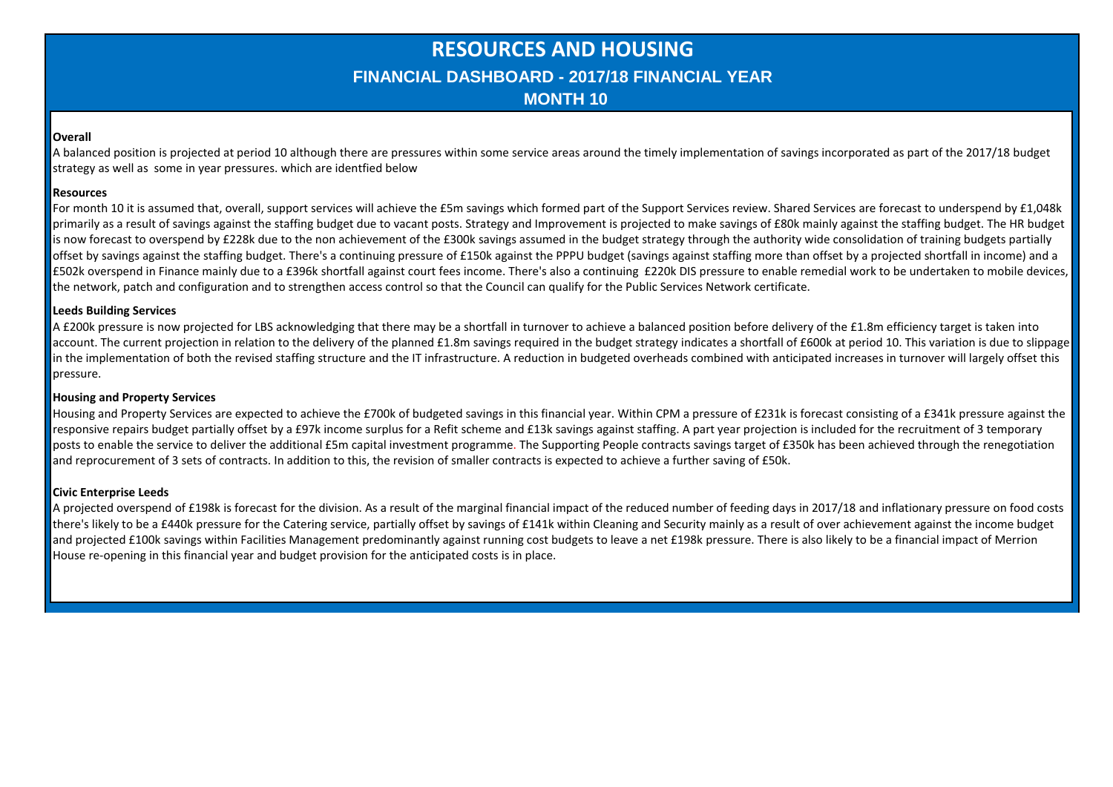## **RESOURCES AND HOUSING FINANCIAL DASHBOARD - 2017/18 FINANCIAL YEAR MONTH 10**

### **Overall**

A balanced position is projected at period 10 although there are pressures within some service areas around the timely implementation of savings incorporated as part of the 2017/18 budget strategy as well as some in year pressures. which are identfied below

### **Resources**

For month 10 it is assumed that, overall, support services will achieve the £5m savings which formed part of the Support Services review. Shared Services are forecast to underspend by £1,048k primarily as a result of savings against the staffing budget due to vacant posts. Strategy and Improvement is projected to make savings of £80k mainly against the staffing budget. The HR budget is now forecast to overspend by £228k due to the non achievement of the £300k savings assumed in the budget strategy through the authority wide consolidation of training budgets partially offset by savings against the staffing budget. There's a continuing pressure of £150k against the PPPU budget (savings against staffing more than offset by a projected shortfall in income) and a £502k overspend in Finance mainly due to a £396k shortfall against court fees income. There's also a continuing £220k DIS pressure to enable remedial work to be undertaken to mobile devices, the network, patch and configuration and to strengthen access control so that the Council can qualify for the Public Services Network certificate.

## **Leeds Building Services**

A £200k pressure is now projected for LBS acknowledging that there may be a shortfall in turnover to achieve a balanced position before delivery of the £1.8m efficiency target is taken into account. The current projection in relation to the delivery of the planned £1.8m savings required in the budget strategy indicates a shortfall of £600k at period 10. This variation is due to slippage in the implementation of both the revised staffing structure and the IT infrastructure. A reduction in budgeted overheads combined with anticipated increases in turnover will largely offset this pressure.

## **Housing and Property Services**

Housing and Property Services are expected to achieve the £700k of budgeted savings in this financial year. Within CPM a pressure of £231k is forecast consisting of a £341k pressure against the responsive repairs budget partially offset by a £97k income surplus for a Refit scheme and £13k savings against staffing. A part year projection is included for the recruitment of 3 temporary posts to enable the service to deliver the additional £5m capital investment programme. The Supporting People contracts savings target of £350k has been achieved through the renegotiation and reprocurement of 3 sets of contracts. In addition to this, the revision of smaller contracts is expected to achieve a further saving of £50k.

## **Civic Enterprise Leeds**

A projected overspend of £198k is forecast for the division. As a result of the marginal financial impact of the reduced number of feeding days in 2017/18 and inflationary pressure on food costs there's likely to be a £440k pressure for the Catering service, partially offset by savings of £141k within Cleaning and Security mainly as a result of over achievement against the income budget and projected £100k savings within Facilities Management predominantly against running cost budgets to leave a net £198k pressure. There is also likely to be a financial impact of Merrion House re-opening in this financial year and budget provision for the anticipated costs is in place.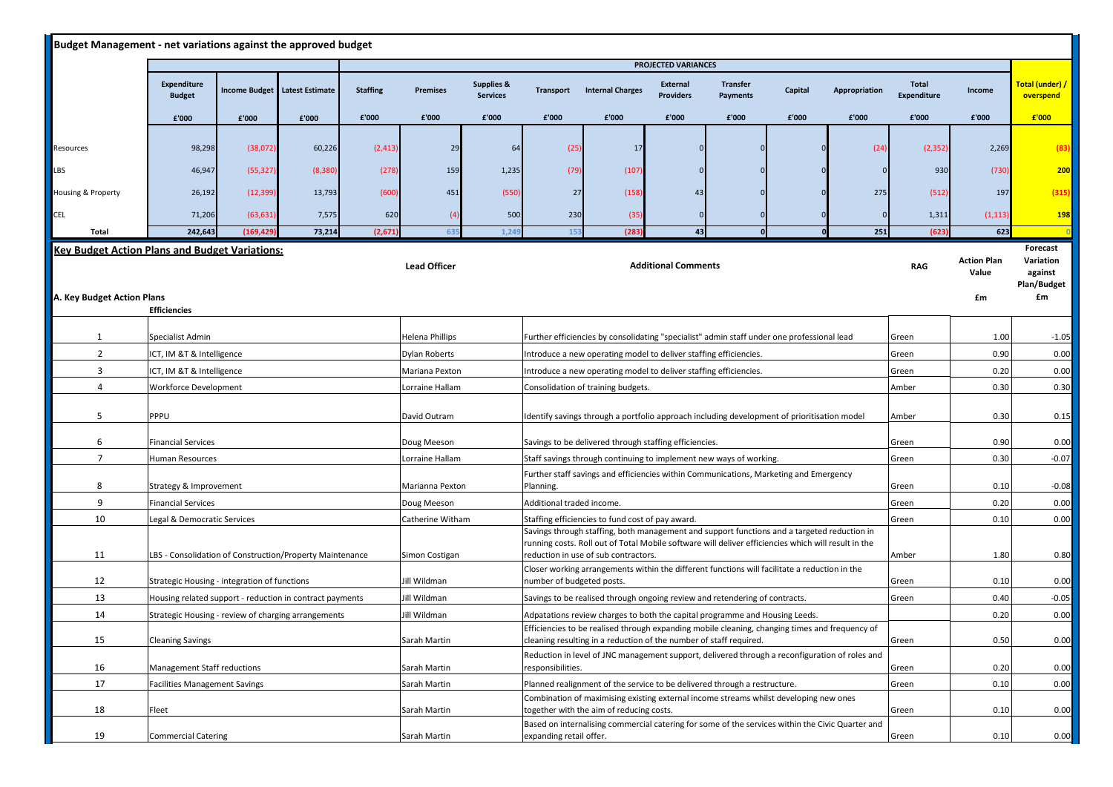| Budget Management - net variations against the approved budget |                                                                                                          |                             |                        |                 |                                                                                                             |                                          |                                                                                                                                                                                                                                            |                                                                                                                                                                      |                                     |                             |         |               |                             |                    |                              |
|----------------------------------------------------------------|----------------------------------------------------------------------------------------------------------|-----------------------------|------------------------|-----------------|-------------------------------------------------------------------------------------------------------------|------------------------------------------|--------------------------------------------------------------------------------------------------------------------------------------------------------------------------------------------------------------------------------------------|----------------------------------------------------------------------------------------------------------------------------------------------------------------------|-------------------------------------|-----------------------------|---------|---------------|-----------------------------|--------------------|------------------------------|
|                                                                |                                                                                                          |                             |                        |                 |                                                                                                             |                                          |                                                                                                                                                                                                                                            |                                                                                                                                                                      | PROJECTED VARIANCES                 |                             |         |               |                             |                    |                              |
|                                                                | Expenditure<br><b>Budget</b>                                                                             | <b>Income Budget</b>        | <b>Latest Estimate</b> | <b>Staffing</b> | <b>Premises</b>                                                                                             | <b>Supplies &amp;</b><br><b>Services</b> | <b>Transport</b>                                                                                                                                                                                                                           | <b>Internal Charges</b>                                                                                                                                              | <b>External</b><br><b>Providers</b> | <b>Transfer</b><br>Payments | Capital | Appropriation | Total<br><b>Expenditure</b> | Income             | Total (under) /<br>overspend |
|                                                                | £'000                                                                                                    | £'000                       | £'000                  | £'000           | £'000                                                                                                       | £'000                                    | £'000                                                                                                                                                                                                                                      | £'000                                                                                                                                                                | £'000                               | £'000                       | £'000   | £'000         | £'000                       | £'000              | £'000                        |
|                                                                |                                                                                                          |                             |                        |                 |                                                                                                             |                                          |                                                                                                                                                                                                                                            |                                                                                                                                                                      |                                     |                             |         |               |                             |                    |                              |
| Resources                                                      | 98,298                                                                                                   | (38,072)                    | 60,226                 | (2, 413)        | 29                                                                                                          | 64                                       | (25)                                                                                                                                                                                                                                       | 17                                                                                                                                                                   |                                     |                             |         | (24)          | (2, 352)                    | 2,269              | (83)                         |
| LBS                                                            | 46,947                                                                                                   | (55, 327)                   | (8, 380)               | (278)           | 159                                                                                                         | 1,235                                    | (79)                                                                                                                                                                                                                                       | (107)                                                                                                                                                                |                                     |                             |         | $\Omega$      | 930                         | (730)              | 200                          |
| Housing & Property                                             | 26,192                                                                                                   | (12, 399)                   | 13,793                 | (600)           | 451                                                                                                         | (550)                                    | 27                                                                                                                                                                                                                                         | (158)                                                                                                                                                                |                                     |                             |         | 275           | (512)                       | 197                | (315)                        |
| <b>CEL</b>                                                     | 71,206                                                                                                   | (63, 631)                   | 7,575                  | 620             | (4)                                                                                                         | 500                                      | 230                                                                                                                                                                                                                                        | (35)                                                                                                                                                                 |                                     |                             |         |               | 1,311                       | (1, 113)           | <b>198</b>                   |
| Total                                                          | 242,643                                                                                                  | (169, 429)                  | 73,214                 | (2,671)         | 63                                                                                                          | 1.24                                     | 153                                                                                                                                                                                                                                        | (283)                                                                                                                                                                | 43                                  |                             |         | 251           | (623)                       | 623                |                              |
| <b>Key Budget Action Plans and Budget Variations:</b>          |                                                                                                          |                             |                        |                 |                                                                                                             |                                          |                                                                                                                                                                                                                                            |                                                                                                                                                                      |                                     |                             |         |               |                             | <b>Action Plan</b> | Forecast<br>Variation        |
|                                                                |                                                                                                          |                             |                        |                 | <b>Lead Officer</b>                                                                                         |                                          |                                                                                                                                                                                                                                            |                                                                                                                                                                      | <b>Additional Comments</b>          |                             |         |               | <b>RAG</b>                  | Value              | against                      |
| A. Key Budget Action Plans                                     |                                                                                                          |                             |                        |                 |                                                                                                             |                                          |                                                                                                                                                                                                                                            |                                                                                                                                                                      |                                     |                             |         |               |                             | £m                 | Plan/Budget<br>£m            |
|                                                                | <b>Efficiencies</b>                                                                                      |                             |                        |                 |                                                                                                             |                                          |                                                                                                                                                                                                                                            |                                                                                                                                                                      |                                     |                             |         |               |                             |                    |                              |
| 1                                                              | Specialist Admin                                                                                         |                             |                        |                 |                                                                                                             |                                          |                                                                                                                                                                                                                                            | Further efficiencies by consolidating "specialist" admin staff under one professional lead                                                                           |                                     |                             |         |               | Green                       | 1.00               | $-1.05$                      |
| $\overline{2}$                                                 |                                                                                                          | ICT, IM &T & Intelligence   |                        |                 |                                                                                                             |                                          |                                                                                                                                                                                                                                            | Introduce a new operating model to deliver staffing efficiencies.                                                                                                    |                                     |                             |         |               | Green                       | 0.90               | 0.00                         |
| $\overline{3}$                                                 | ICT, IM &T & Intelligence                                                                                |                             |                        |                 | Mariana Pexton                                                                                              |                                          |                                                                                                                                                                                                                                            | Introduce a new operating model to deliver staffing efficiencies.                                                                                                    |                                     |                             |         |               | Green                       | 0.20               | 0.00                         |
| 4                                                              | Workforce Development                                                                                    |                             |                        |                 | Lorraine Hallam                                                                                             |                                          |                                                                                                                                                                                                                                            | Consolidation of training budgets.                                                                                                                                   |                                     |                             |         |               | Amber                       | 0.30               | 0.30                         |
| 5                                                              | PPPU                                                                                                     |                             |                        |                 | David Outram<br>Identify savings through a portfolio approach including development of prioritisation model |                                          |                                                                                                                                                                                                                                            |                                                                                                                                                                      |                                     |                             | Amber   | 0.30          | 0.15                        |                    |                              |
| 6                                                              | <b>Financial Services</b>                                                                                |                             |                        |                 | Doug Meeson<br>Savings to be delivered through staffing efficiencies.                                       |                                          |                                                                                                                                                                                                                                            |                                                                                                                                                                      |                                     |                             | Green   | 0.90          | 0.00                        |                    |                              |
| $\overline{7}$                                                 | Human Resources                                                                                          |                             |                        |                 | Lorraine Hallam                                                                                             |                                          |                                                                                                                                                                                                                                            | Staff savings through continuing to implement new ways of working.                                                                                                   |                                     |                             |         |               | Green                       | 0.30               | $-0.07$                      |
| 8                                                              | Strategy & Improvement                                                                                   |                             |                        |                 | Marianna Pexton                                                                                             |                                          | Further staff savings and efficiencies within Communications, Marketing and Emergency<br>Planning.                                                                                                                                         |                                                                                                                                                                      |                                     |                             |         |               | Green                       | 0.10               | $-0.08$                      |
| 9                                                              | <b>Financial Services</b>                                                                                |                             |                        |                 | Doug Meeson                                                                                                 |                                          | Additional traded income.                                                                                                                                                                                                                  |                                                                                                                                                                      |                                     |                             |         |               | Green                       | 0.20               | 0.00                         |
| 10                                                             | Legal & Democratic Services                                                                              |                             |                        |                 | Catherine Witham                                                                                            |                                          | Staffing efficiencies to fund cost of pay award.                                                                                                                                                                                           |                                                                                                                                                                      |                                     |                             |         |               | Green                       | 0.10               | 0.00                         |
| 11                                                             | LBS - Consolidation of Construction/Property Maintenance                                                 |                             |                        |                 | Simon Costigan                                                                                              |                                          | Savings through staffing, both management and support functions and a targeted reduction in<br>running costs. Roll out of Total Mobile software will deliver efficiencies which will result in the<br>reduction in use of sub contractors. |                                                                                                                                                                      |                                     |                             |         |               | Amber                       | 1.80               | 0.80                         |
| 12                                                             |                                                                                                          |                             |                        |                 | Jill Wildman                                                                                                |                                          |                                                                                                                                                                                                                                            | Closer working arrangements within the different functions will facilitate a reduction in the                                                                        |                                     |                             |         |               |                             | 0.10               |                              |
| 13                                                             | Strategic Housing - integration of functions<br>Housing related support - reduction in contract payments |                             |                        |                 | Jill Wildman                                                                                                |                                          | number of budgeted posts.                                                                                                                                                                                                                  | Savings to be realised through ongoing review and retendering of contracts.                                                                                          |                                     |                             |         |               | Green<br>Green              | 0.40               | 0.00<br>$-0.05$              |
| 14                                                             | Strategic Housing - review of charging arrangements                                                      |                             |                        |                 | Jill Wildman                                                                                                |                                          |                                                                                                                                                                                                                                            | Adpatations review charges to both the capital programme and Housing Leeds.                                                                                          |                                     |                             |         |               |                             | 0.20               | 0.00                         |
| 15                                                             | <b>Cleaning Savings</b>                                                                                  |                             |                        |                 | Sarah Martin                                                                                                |                                          |                                                                                                                                                                                                                                            | Efficiencies to be realised through expanding mobile cleaning, changing times and frequency of<br>cleaning resulting in a reduction of the number of staff required. |                                     |                             |         |               | Green                       | 0.50               | 0.00                         |
| 16                                                             |                                                                                                          | Management Staff reductions |                        |                 |                                                                                                             |                                          | Reduction in level of JNC management support, delivered through a reconfiguration of roles and<br>responsibilities.                                                                                                                        |                                                                                                                                                                      |                                     |                             |         |               | Green                       | 0.20               | 0.00                         |
| 17                                                             | <b>Facilities Management Savings</b>                                                                     |                             |                        |                 | Sarah Martin                                                                                                |                                          | Planned realignment of the service to be delivered through a restructure.                                                                                                                                                                  |                                                                                                                                                                      |                                     |                             |         |               | Green                       | 0.10               | 0.00                         |
| 18                                                             | Fleet                                                                                                    |                             |                        |                 | Sarah Martin                                                                                                |                                          | Combination of maximising existing external income streams whilst developing new ones<br>together with the aim of reducing costs.                                                                                                          |                                                                                                                                                                      |                                     |                             |         |               | Green                       | 0.10               | 0.00                         |
| 19                                                             | <b>Commercial Catering</b>                                                                               |                             |                        |                 | Sarah Martin                                                                                                |                                          | expanding retail offer.                                                                                                                                                                                                                    | Based on internalising commercial catering for some of the services within the Civic Quarter and                                                                     |                                     |                             |         |               | Green                       | 0.10               | 0.00                         |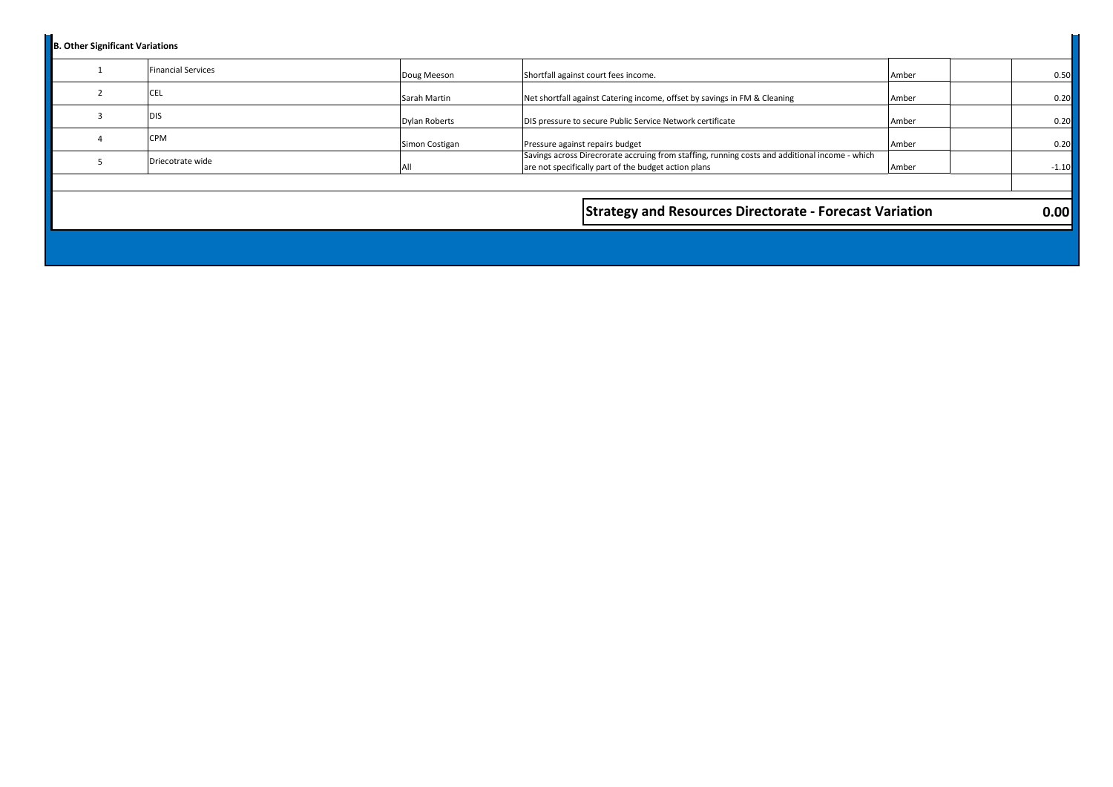| <b>B. Other Significant Variations</b> |                           |                      |                                                                                                                                                        |       |         |
|----------------------------------------|---------------------------|----------------------|--------------------------------------------------------------------------------------------------------------------------------------------------------|-------|---------|
|                                        | <b>Financial Services</b> | Doug Meeson          | Shortfall against court fees income.                                                                                                                   | Amber | 0.50    |
|                                        | <b>CEL</b>                | Sarah Martin         | Net shortfall against Catering income, offset by savings in FM & Cleaning                                                                              | Amber | 0.20    |
|                                        | <b>DIS</b>                | <b>Dylan Roberts</b> | DIS pressure to secure Public Service Network certificate                                                                                              | Amber | 0.20    |
|                                        | <b>CPM</b>                | Simon Costigan       | Pressure against repairs budget                                                                                                                        | Amber | 0.20    |
|                                        | Driecotrate wide          | All                  | Savings across Direcrorate accruing from staffing, running costs and additional income - which<br>are not specifically part of the budget action plans | Amber | $-1.10$ |
|                                        |                           |                      |                                                                                                                                                        |       |         |
|                                        |                           |                      | <b>Strategy and Resources Directorate - Forecast Variation</b>                                                                                         |       | 0.00    |
|                                        |                           |                      |                                                                                                                                                        |       |         |
|                                        |                           |                      |                                                                                                                                                        |       |         |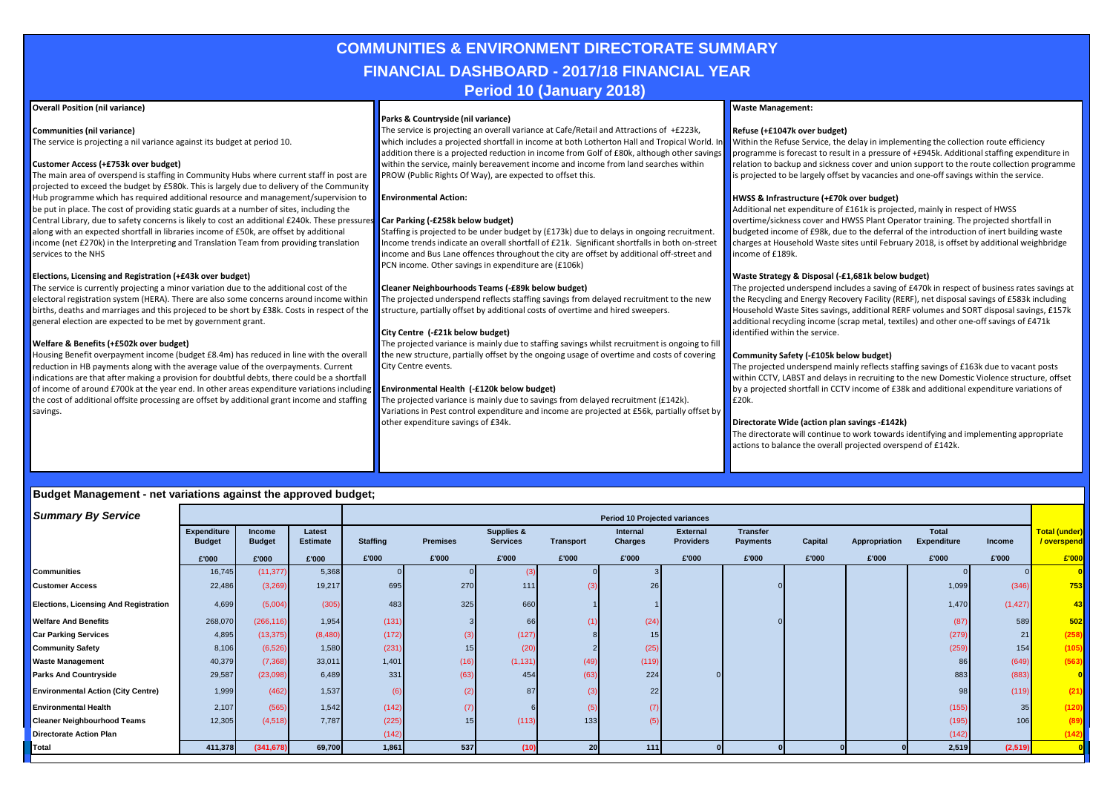## **COMMUNITIES & ENVIRONMENT DIRECTORATE SUMMARY FINANCIAL DASHBOARD - 2017/18 FINANCIAL YEAR Period 10 (January 2018)**

#### **Overall Position (nil variance)**

**Communities (nil variance)**

The service is projecting a nil variance against its budget at period 10.

#### **Customer Access (+£753k over budget)**

The main area of overspend is staffing in Community Hubs where current staff in post are projected to exceed the budget by £580k. This is largely due to delivery of the Community Hub programme which has required additional resource and management/supervision to be put in place. The cost of providing static guards at a number of sites, including the Central Library, due to safety concerns is likely to cost an additional £240k. These pressures along with an expected shortfall in libraries income of £50k, are offset by additional income (net £270k) in the Interpreting and Translation Team from providing translation services to the NHS

#### **Elections, Licensing and Registration (+£43k over budget)**

The service is currently projecting a minor variation due to the additional cost of the electoral registration system (HERA). There are also some concerns around income within births, deaths and marriages and this projeced to be short by £38k. Costs in respect of the general election are expected to be met by government grant.

#### **Welfare & Benefits (+£502k over budget)**

Housing Benefit overpayment income (budget £8.4m) has reduced in line with the overall reduction in HB payments along with the average value of the overpayments. Current indications are that after making a provision for doubtful debts, there could be a shortfall of income of around £700k at the year end. In other areas expenditure variations including the cost of additional offsite processing are offset by additional grant income and staffing savings.

#### **Parks & Countryside (nil variance)**

The service is projecting an overall variance at Cafe/Retail and Attractions of +£223k, which includes a projected shortfall in income at both Lotherton Hall and Tropical World. In addition there is a projected reduction in income from Golf of £80k, although other savings within the service, mainly bereavement income and income from land searches within PROW (Public Rights Of Way), are expected to offset this.

#### **Environmental Action:**

#### **Car Parking (-£258k below budget)**

Staffing is projected to be under budget by (£173k) due to delays in ongoing recruitment. Income trends indicate an overall shortfall of £21k. Significant shortfalls in both on-street income and Bus Lane offences throughout the city are offset by additional off-street and PCN income. Other savings in expenditure are (£106k)

#### **Cleaner Neighbourhoods Teams (-£89k below budget)**

The projected underspend reflects staffing savings from delayed recruitment to the new structure, partially offset by additional costs of overtime and hired sweepers.

#### **City Centre (-£21k below budget)**

The projected variance is mainly due to staffing savings whilst recruitment is ongoing to fill the new structure, partially offset by the ongoing usage of overtime and costs of covering City Centre events.

#### **Environmental Health (-£120k below budget)**

The projected variance is mainly due to savings from delayed recruitment (£142k). Variations in Pest control expenditure and income are projected at £56k, partially offset by other expenditure savings of £34k.

#### **Waste Management:**

#### **Refuse (+£1047k over budget)**

Within the Refuse Service, the delay in implementing the collection route efficiency programme is forecast to result in a pressure of +£945k. Additional staffing expenditure in relation to backup and sickness cover and union support to the route collection programme is projected to be largely offset by vacancies and one-off savings within the service.

#### **HWSS & Infrastructure (+£70k over budget)**

Additional net expenditure of £161k is projected, mainly in respect of HWSS overtime/sickness cover and HWSS Plant Operator training. The projected shortfall in budgeted income of £98k, due to the deferral of the introduction of inert building waste charges at Household Waste sites until February 2018, is offset by additional weighbridge income of £189k.

#### **Waste Strategy & Disposal (-£1,681k below budget)**

The projected underspend includes a saving of £470k in respect of business rates savings at the Recycling and Energy Recovery Facility (RERF), net disposal savings of £583k including Household Waste Sites savings, additional RERF volumes and SORT disposal savings, £157k additional recycling income (scrap metal, textiles) and other one-off savings of £471k identified within the service.

#### **Community Safety (-£105k below budget)**

The projected underspend mainly reflects staffing savings of £163k due to vacant posts within CCTV, LABST and delays in recruiting to the new Domestic Violence structure, offset by a projected shortfall in CCTV income of £38k and additional expenditure variations of  $F20k$ .

#### **Directorate Wide (action plan savings -£142k)**

The directorate will continue to work towards identifying and implementing appropriate actions to balance the overall projected overspend of £142k.

| <b>Summary By Service</b>                    |                              |                                |                           |                 |                 |                                          |                  | <b>Period 10 Projected variances</b> |                                     |                                    |         |               |                                    |          |                             |
|----------------------------------------------|------------------------------|--------------------------------|---------------------------|-----------------|-----------------|------------------------------------------|------------------|--------------------------------------|-------------------------------------|------------------------------------|---------|---------------|------------------------------------|----------|-----------------------------|
|                                              | Expenditure<br><b>Budget</b> | <b>Income</b><br><b>Budget</b> | Latest<br><b>Estimate</b> | <b>Staffing</b> | <b>Premises</b> | <b>Supplies &amp;</b><br><b>Services</b> | <b>Transport</b> | Internal<br>Charges                  | <b>External</b><br><b>Providers</b> | <b>Transfer</b><br><b>Payments</b> | Capital | Appropriation | <b>Total</b><br><b>Expenditure</b> | Income   | Total (under)<br>/overspend |
|                                              | £'000                        | £'000                          | £'000                     | £'000           | £'000           | £'000                                    | £'000            | £'000                                | £'000                               | £'000                              | £'000   | £'000         | £'000                              | £'000    | £'000                       |
| <b>Communities</b>                           | 16,745                       | (11, 377)                      | 5,368                     |                 |                 |                                          |                  |                                      |                                     |                                    |         |               |                                    |          |                             |
| <b>Customer Access</b>                       | 22,486                       | (3,269)                        | 19,217                    | 695             | 270             | 111                                      | (3)              | 26                                   |                                     |                                    |         |               | 1,099                              | (346)    | 753                         |
| <b>Elections, Licensing And Registration</b> | 4,699                        | (5,004)                        | (305)                     | 483             | 325             | 660                                      |                  |                                      |                                     |                                    |         |               | 1,470                              | (1, 427) | 43                          |
| <b>Welfare And Benefits</b>                  | 268,070                      | (266, 116)                     | 1,954                     | (131)           |                 | 66                                       |                  | (24)                                 |                                     |                                    |         |               | (87)                               | 589      | 502                         |
| <b>Car Parking Services</b>                  | 4,895                        | (13, 375)                      | (8,480)                   | (172)           |                 | (127)                                    |                  |                                      |                                     |                                    |         |               | (279)                              | 21       | (258)                       |
| <b>Community Safety</b>                      | 8,106                        | (6, 526)                       | 1,580                     | (231)           | 15              | (20)                                     |                  | (25)                                 |                                     |                                    |         |               | (259)                              | 154      | (105)                       |
| <b>Waste Management</b>                      | 40,379                       | (7, 368)                       | 33,011                    | 1,401           | (16)            | (1, 131)                                 | (49)             | (119)                                |                                     |                                    |         |               | 86                                 | (649)    | (563)                       |
| <b>Parks And Countryside</b>                 | 29,587                       | (23,098)                       | 6,489                     | 331             | (63)            | 454                                      | (63)             | 224                                  |                                     |                                    |         |               | 883                                | (883)    | 0                           |
| <b>Environmental Action (City Centre)</b>    | 1,999                        | (462)                          | 1,537                     |                 |                 | 87                                       | (3)              | 22 <sub>1</sub>                      |                                     |                                    |         |               | 98                                 | (119)    | (21)                        |
| <b>Environmental Health</b>                  | 2,107                        | (565)                          | 1,542                     | (142)           | (7)             |                                          |                  |                                      |                                     |                                    |         |               | (155)                              | 35       | (120)                       |
| <b>Cleaner Neighbourhood Teams</b>           | 12,305                       | (4,518)                        | 7,787                     | (225)           | 15              | (113)                                    | 133              |                                      |                                     |                                    |         |               | (195)                              | 106      | (89)                        |
| <b>Directorate Action Plan</b>               |                              |                                |                           | (142)           |                 |                                          |                  |                                      |                                     |                                    |         |               | (142)                              |          | (142)                       |
| Total                                        | 411,378                      | (341, 678)                     | 69,700                    | 1,861           | 537             | (10)                                     | 20               | 111                                  |                                     |                                    |         |               | 2,519                              | (2, 519) |                             |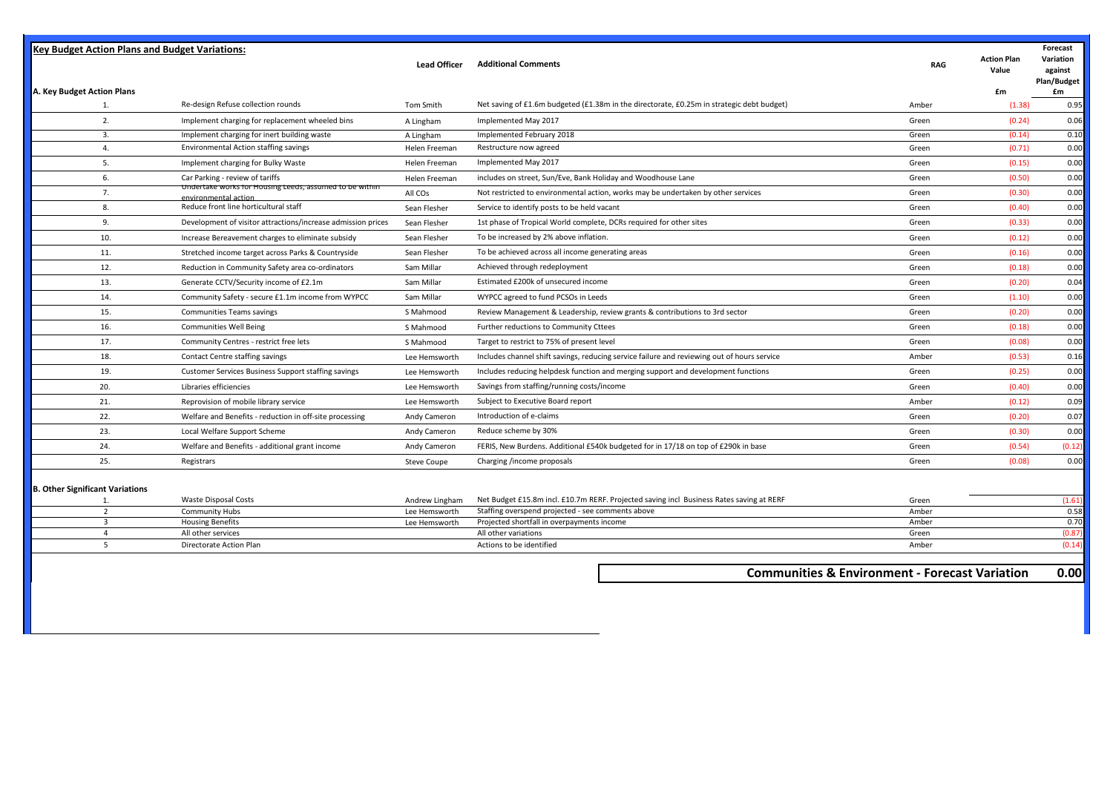| <b>Key Budget Action Plans and Budget Variations:</b> |                                                                                 |                     |                                                                                                 |                                                           |                             | Forecast                            |
|-------------------------------------------------------|---------------------------------------------------------------------------------|---------------------|-------------------------------------------------------------------------------------------------|-----------------------------------------------------------|-----------------------------|-------------------------------------|
|                                                       |                                                                                 | <b>Lead Officer</b> | <b>Additional Comments</b>                                                                      | <b>RAG</b>                                                | <b>Action Plan</b><br>Value | Variation<br>against<br>Plan/Budget |
| A. Key Budget Action Plans                            |                                                                                 |                     |                                                                                                 |                                                           | £m                          | £m                                  |
| 1.                                                    | Re-design Refuse collection rounds                                              | Tom Smith           | Net saving of £1.6m budgeted (£1.38m in the directorate, £0.25m in strategic debt budget)       | Amber                                                     | (1.38)                      | 0.95                                |
| 2.                                                    | Implement charging for replacement wheeled bins                                 | A Lingham           | Implemented May 2017                                                                            | Green                                                     | (0.24)                      | 0.06                                |
| 3.                                                    | Implement charging for inert building waste                                     | A Lingham           | Implemented February 2018                                                                       | Green                                                     | (0.14)                      | 0.10                                |
| 4.                                                    | <b>Environmental Action staffing savings</b>                                    | Helen Freeman       | Restructure now agreed                                                                          | Green                                                     | (0.71)                      | 0.00                                |
| 5.                                                    | Implement charging for Bulky Waste                                              | Helen Freeman       | Implemented May 2017                                                                            | Green                                                     | (0.15)                      | 0.00                                |
| 6.                                                    | Car Parking - review of tariffs                                                 | Helen Freeman       | includes on street, Sun/Eve, Bank Holiday and Woodhouse Lane                                    | Green                                                     | (0.50)                      | 0.00                                |
| 7.                                                    | Undertake works for Housing Leeds, assumed to be within<br>environmental action | All COs             | Not restricted to environmental action, works may be undertaken by other services               | Green                                                     | (0.30)                      | 0.00                                |
| 8.                                                    | Reduce front line horticultural staff                                           | Sean Flesher        | Service to identify posts to be held vacant                                                     | Green                                                     | (0.40)                      | 0.00                                |
| 9.                                                    | Development of visitor attractions/increase admission prices                    | Sean Flesher        | 1st phase of Tropical World complete, DCRs required for other sites                             | Green                                                     | (0.33)                      | 0.00                                |
| 10.                                                   | Increase Bereavement charges to eliminate subsidy                               | Sean Flesher        | To be increased by 2% above inflation.                                                          | Green                                                     | (0.12)                      | 0.00                                |
| 11.                                                   | Stretched income target across Parks & Countryside                              | Sean Flesher        | To be achieved across all income generating areas                                               | Green                                                     | (0.16)                      | 0.00                                |
| 12.                                                   | Reduction in Community Safety area co-ordinators                                | Sam Millar          | Achieved through redeployment                                                                   | Green                                                     | (0.18)                      | 0.00                                |
| 13.                                                   | Generate CCTV/Security income of £2.1m                                          | Sam Millar          | Estimated £200k of unsecured income                                                             | Green                                                     | (0.20)                      | 0.04                                |
| 14.                                                   | Community Safety - secure £1.1m income from WYPCC                               | Sam Millar          | WYPCC agreed to fund PCSOs in Leeds                                                             | Green                                                     | (1.10)                      | 0.00                                |
| 15.                                                   | <b>Communities Teams savings</b>                                                | S Mahmood           | Review Management & Leadership, review grants & contributions to 3rd sector                     | Green                                                     | (0.20)                      | 0.00                                |
| 16.                                                   | <b>Communities Well Being</b>                                                   | S Mahmood           | Further reductions to Community Cttees                                                          | Green                                                     | (0.18)                      | 0.00                                |
| 17.                                                   | Community Centres - restrict free lets                                          | S Mahmood           | Target to restrict to 75% of present level                                                      | Green                                                     | (0.08)                      | 0.00                                |
| 18.                                                   | Contact Centre staffing savings                                                 | Lee Hemsworth       | Includes channel shift savings, reducing service failure and reviewing out of hours service     | Amber                                                     | (0.53)                      | 0.16                                |
| 19.                                                   | Customer Services Business Support staffing savings                             | Lee Hemsworth       | Includes reducing helpdesk function and merging support and development functions               | Green                                                     | (0.25)                      | 0.00                                |
| 20.                                                   | Libraries efficiencies                                                          | Lee Hemsworth       | Savings from staffing/running costs/income                                                      | Green                                                     | (0.40)                      | 0.00                                |
| 21.                                                   | Reprovision of mobile library service                                           | Lee Hemsworth       | Subject to Executive Board report                                                               | Amber                                                     | (0.12)                      | 0.09                                |
| 22.                                                   | Welfare and Benefits - reduction in off-site processing                         | Andy Cameron        | Introduction of e-claims                                                                        | Green                                                     | (0.20)                      | 0.07                                |
| 23.                                                   | Local Welfare Support Scheme                                                    | Andy Cameron        | Reduce scheme by 30%                                                                            | Green                                                     | (0.30)                      | 0.00                                |
| 24.                                                   | Welfare and Benefits - additional grant income                                  | Andy Cameron        | FERIS, New Burdens. Additional £540k budgeted for in 17/18 on top of £290k in base              | Green                                                     | (0.54)                      | (0.12)                              |
| 25.                                                   | Registrars                                                                      | <b>Steve Coupe</b>  | Charging /income proposals                                                                      | Green                                                     | (0.08)                      | 0.00                                |
|                                                       |                                                                                 |                     |                                                                                                 |                                                           |                             |                                     |
| <b>B. Other Significant Variations</b>                |                                                                                 |                     |                                                                                                 |                                                           |                             |                                     |
| $\mathbf{1}$                                          | Waste Disposal Costs                                                            | Andrew Lingham      | Net Budget £15.8m incl. £10.7m RERF. Projected saving incl Business Rates saving at RERF        | Green                                                     |                             | (1.61)                              |
| $\overline{2}$<br>$\overline{3}$                      | <b>Community Hubs</b><br><b>Housing Benefits</b>                                | Lee Hemsworth       | Staffing overspend projected - see comments above<br>Projected shortfall in overpayments income | Amber<br>Amber                                            |                             | 0.58<br>0.70                        |
| $\overline{4}$                                        | All other services                                                              | Lee Hemsworth       | All other variations                                                                            | Green                                                     |                             | (0.87)                              |
| 5                                                     | Directorate Action Plan                                                         |                     | Actions to be identified                                                                        | Amber                                                     |                             | (0.14)                              |
|                                                       |                                                                                 |                     |                                                                                                 |                                                           |                             |                                     |
|                                                       |                                                                                 |                     |                                                                                                 | <b>Communities &amp; Environment - Forecast Variation</b> |                             | 0.00                                |
|                                                       |                                                                                 |                     |                                                                                                 |                                                           |                             |                                     |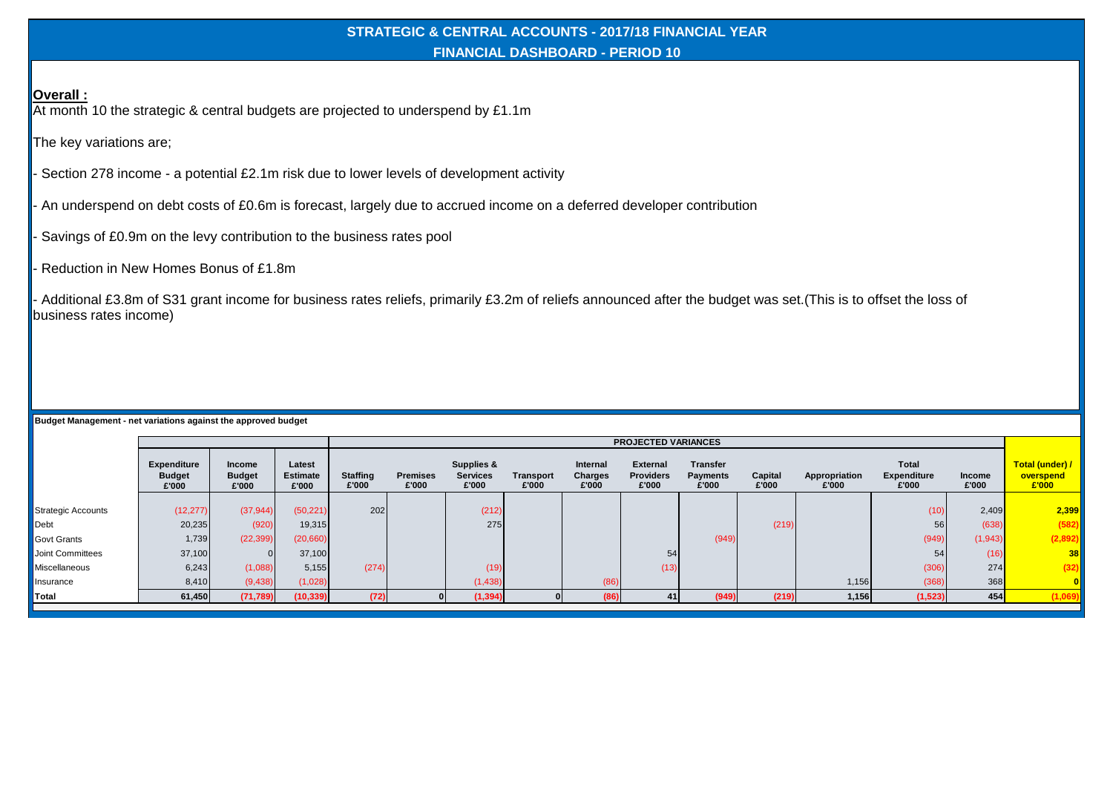## **STRATEGIC & CENTRAL ACCOUNTS - 2017/18 FINANCIAL YEAR FINANCIAL DASHBOARD - PERIOD 10**

**Overall :**

At month 10 the strategic & central budgets are projected to underspend by £1.1m

The key variations are;

- Section 278 income - a potential £2.1m risk due to lower levels of development activity

- An underspend on debt costs of £0.6m is forecast, largely due to accrued income on a deferred developer contribution

Savings of £0.9m on the levy contribution to the business rates pool

Reduction in New Homes Bonus of £1.8m

- Additional £3.8m of S31 grant income for business rates reliefs, primarily £3.2m of reliefs announced after the budget was set.(This is to offset the loss of business rates income)

|                           |                                              |                                         |                                    | <b>PROJECTED VARIANCES</b> |                          |                                        |                    |                                     |                                              |                                             |                  |                        |                                      |                        |                                       |
|---------------------------|----------------------------------------------|-----------------------------------------|------------------------------------|----------------------------|--------------------------|----------------------------------------|--------------------|-------------------------------------|----------------------------------------------|---------------------------------------------|------------------|------------------------|--------------------------------------|------------------------|---------------------------------------|
|                           | <b>Expenditure</b><br><b>Budget</b><br>£'000 | <b>Income</b><br><b>Budget</b><br>£'000 | Latest<br><b>Estimate</b><br>£'000 | <b>Staffing</b><br>£'000   | <b>Premises</b><br>£'000 | Supplies &<br><b>Services</b><br>£'000 | Transport<br>£'000 | <b>Internal</b><br>Charges<br>£'000 | <b>External</b><br><b>Providers</b><br>£'000 | <b>Transfer</b><br><b>Payments</b><br>£'000 | Capital<br>£'000 | Appropriation<br>£'000 | Total<br><b>Expenditure</b><br>£'000 | <b>Income</b><br>£'000 | Total (under) /<br>overspend<br>E'000 |
|                           |                                              |                                         |                                    |                            |                          |                                        |                    |                                     |                                              |                                             |                  |                        |                                      |                        |                                       |
| <b>Strategic Accounts</b> | (12, 277)                                    | (37, 944)                               | (50, 221)                          | 202                        |                          | (212)                                  |                    |                                     |                                              |                                             |                  |                        | (10)                                 | 2,409                  | 2,399                                 |
| Debt                      | 20,235                                       | (920)                                   | 19,315                             |                            |                          | 275                                    |                    |                                     |                                              |                                             | (219)            |                        | 56                                   | (638)                  | (582)                                 |
| Govt Grants               | 1,739                                        | (22, 399)                               | (20,660)                           |                            |                          |                                        |                    |                                     |                                              | (949)                                       |                  |                        | (949)                                | (1,943)                | (2,892)                               |
| Joint Committees          | 37,100                                       |                                         | 37,100                             |                            |                          |                                        |                    |                                     | 54                                           |                                             |                  |                        | 54                                   | (16)                   | 38                                    |
| Miscellaneous             | 6,243                                        | (1,088)                                 | 5,155                              | (274)                      |                          | (19)                                   |                    |                                     | (13)                                         |                                             |                  |                        | (306)                                | 274                    | (32)                                  |
| Insurance                 | 8,410                                        | (9,438)                                 | (1,028)                            |                            |                          | (1,438)                                |                    | (86)                                |                                              |                                             |                  | 1,156                  | (368)                                | 368                    |                                       |
| Total                     | 61,450                                       | (71, 789)                               | (10, 339)                          | (72)                       |                          | (1, 394)                               |                    | (86)                                | 41                                           | (949)                                       | (219)            | 1,156                  | (1, 523)                             | 454                    | (1,069)                               |
|                           |                                              |                                         |                                    |                            |                          |                                        |                    |                                     |                                              |                                             |                  |                        |                                      |                        |                                       |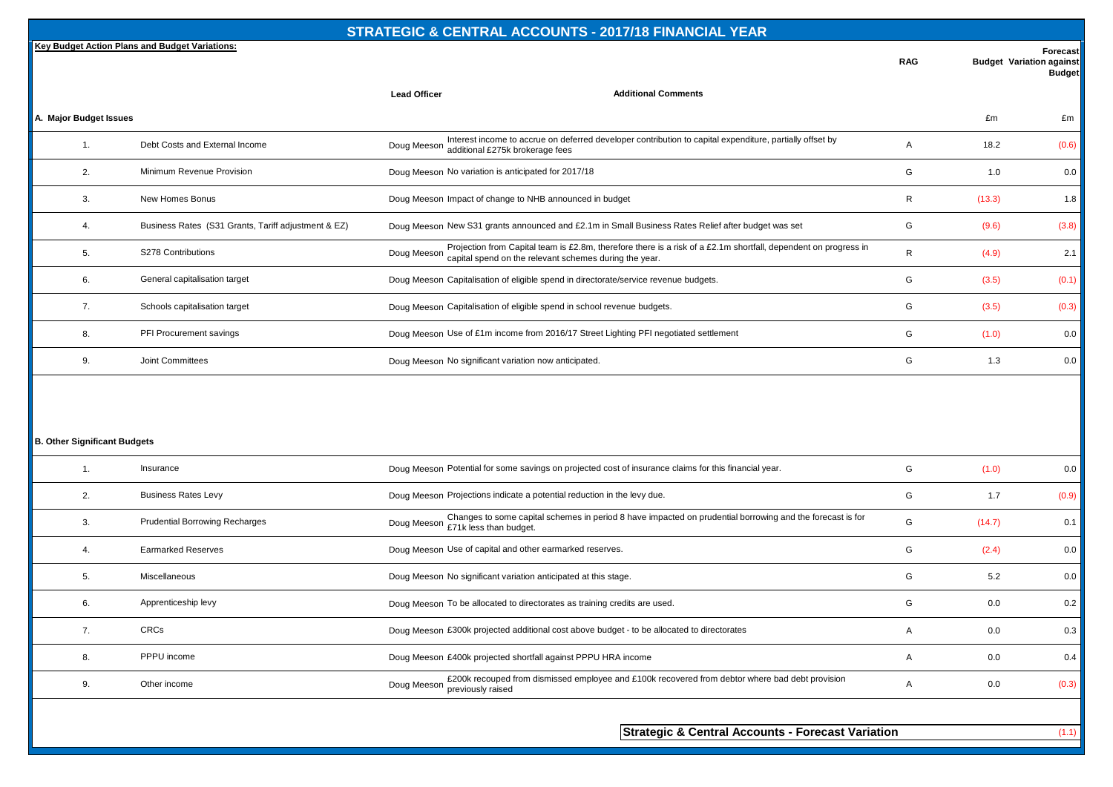|                        | Key Budget Action Plans and Budget Variations:      |                                                                         |                                                                                                                 | <b>RAG</b> | <b>Budget Variation against</b> | Forecast<br><b>Budget</b> |
|------------------------|-----------------------------------------------------|-------------------------------------------------------------------------|-----------------------------------------------------------------------------------------------------------------|------------|---------------------------------|---------------------------|
|                        |                                                     | <b>Lead Officer</b>                                                     | <b>Additional Comments</b>                                                                                      |            |                                 |                           |
| A. Major Budget Issues |                                                     |                                                                         |                                                                                                                 |            | £m                              | £m                        |
| $\overline{1}$ .       | Debt Costs and External Income                      | Doug Meeson additional £275k brokerage fees                             | Interest income to accrue on deferred developer contribution to capital expenditure, partially offset by        | A          | 18.2                            | (0.6)                     |
| 2.                     | Minimum Revenue Provision                           | Doug Meeson No variation is anticipated for 2017/18                     |                                                                                                                 | G          | 1.0                             | 0.0                       |
| 3.                     | New Homes Bonus                                     | Doug Meeson Impact of change to NHB announced in budget                 |                                                                                                                 | R          | (13.3)                          | 1.8                       |
| 4.                     | Business Rates (S31 Grants, Tariff adjustment & EZ) |                                                                         | Doug Meeson New S31 grants announced and £2.1m in Small Business Rates Relief after budget was set              | G          | (9.6)                           | (3.8)                     |
| 5.                     | S278 Contributions                                  | Doug Meeson capital spend on the relevant schemes during the year.      | Projection from Capital team is £2.8m, therefore there is a risk of a £2.1m shortfall, dependent on progress in | R          | (4.9)                           | 2.1                       |
| 6.                     | General capitalisation target                       |                                                                         | Doug Meeson Capitalisation of eligible spend in directorate/service revenue budgets.                            | G          | (3.5)                           | (0.1)                     |
| 7.                     | Schools capitalisation target                       | Doug Meeson Capitalisation of eligible spend in school revenue budgets. |                                                                                                                 | G          | (3.5)                           | (0.3)                     |
| 8.                     | PFI Procurement savings                             |                                                                         | Doug Meeson Use of £1m income from 2016/17 Street Lighting PFI negotiated settlement                            | G          | (1.0)                           | 0.0                       |
| 9.                     | Joint Committees                                    | Doug Meeson No significant variation now anticipated.                   |                                                                                                                 | G          | 1.3                             | 0.0                       |

## **B. Other Significant Budgets**

|    | Insurance                             | Doug Meeson Potential for some savings on projected cost of insurance claims for this financial year.                                           | G | (1.0)  | 0.0   |
|----|---------------------------------------|-------------------------------------------------------------------------------------------------------------------------------------------------|---|--------|-------|
| 2. | <b>Business Rates Levy</b>            | Doug Meeson Projections indicate a potential reduction in the levy due.                                                                         | G | 1.7    | (0.9) |
| 3. | <b>Prudential Borrowing Recharges</b> | Changes to some capital schemes in period 8 have impacted on prudential borrowing and the forecast is for<br>Doug Meeson £71k less than budget. | G | (14.7) | 0.1   |
|    | <b>Earmarked Reserves</b>             | Doug Meeson Use of capital and other earmarked reserves.                                                                                        | G | (2.4)  | 0.0   |
| 5. | Miscellaneous                         | Doug Meeson No significant variation anticipated at this stage.                                                                                 | G | 5.2    | 0.0   |
| 6. | Apprenticeship levy                   | Doug Meeson To be allocated to directorates as training credits are used.                                                                       | G | 0.0    | 0.2   |
| 7. | CRCs                                  | Doug Meeson £300k projected additional cost above budget - to be allocated to directorates                                                      |   | 0.0    | 0.3   |
| 8. | PPPU income                           | Doug Meeson £400k projected shortfall against PPPU HRA income                                                                                   | A | 0.0    | 0.4   |
| 9. | Other income                          | £200k recouped from dismissed employee and £100k recovered from debtor where bad debt provision<br>Doug Meeson<br>previously raised             |   | 0.0    | (0.3) |
|    |                                       |                                                                                                                                                 |   |        |       |

**Strategic & Central Accounts - Forecast Variation** (1.1)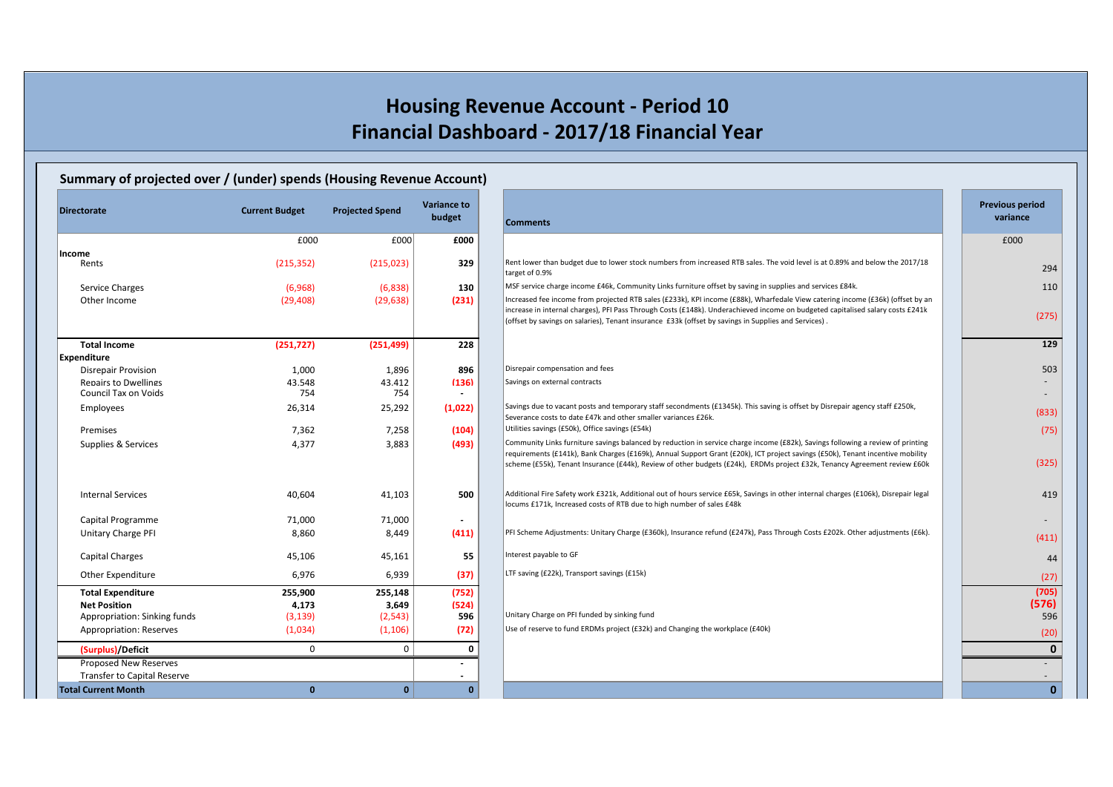## **Summary of projected over / (under) spends (Housing Revenue Account)**

| Directorate                        | <b>Current Budget</b> | <b>Projected Spend</b> | <b>Variance to</b><br>budget | <b>Comments</b>                                                                                                                                                                                                                                                                                                                                                                                | <b>Previous period</b><br>variance |
|------------------------------------|-----------------------|------------------------|------------------------------|------------------------------------------------------------------------------------------------------------------------------------------------------------------------------------------------------------------------------------------------------------------------------------------------------------------------------------------------------------------------------------------------|------------------------------------|
|                                    | £000                  | £000                   | £000                         |                                                                                                                                                                                                                                                                                                                                                                                                | £000                               |
| Income                             |                       |                        |                              |                                                                                                                                                                                                                                                                                                                                                                                                |                                    |
| Rents                              | (215, 352)            | (215, 023)             | 329                          | Rent lower than budget due to lower stock numbers from increased RTB sales. The void level is at 0.89% and below the 2017/18<br>target of 0.9%                                                                                                                                                                                                                                                 | 294                                |
| Service Charges                    | (6,968)               | (6,838)                | 130                          | MSF service charge income £46k, Community Links furniture offset by saving in supplies and services £84k.                                                                                                                                                                                                                                                                                      | 11(                                |
| Other Income                       | (29, 408)             | (29, 638)              | (231)                        | Increased fee income from projected RTB sales (£233k), KPI income (£88k), Wharfedale View catering income (£36k) (offset by an<br>increase in internal charges), PFI Pass Through Costs (£148k). Underachieved income on budgeted capitalised salary costs £241k<br>(offset by savings on salaries), Tenant insurance £33k (offset by savings in Supplies and Services).                       | (275)                              |
| <b>Total Income</b>                | (251, 727)            | (251, 499)             | 228                          |                                                                                                                                                                                                                                                                                                                                                                                                | 12 <sub>5</sub>                    |
| Expenditure                        |                       |                        |                              |                                                                                                                                                                                                                                                                                                                                                                                                |                                    |
| <b>Disrepair Provision</b>         | 1,000                 | 1,896                  | 896                          | Disrepair compensation and fees                                                                                                                                                                                                                                                                                                                                                                | 503                                |
| <b>Repairs to Dwellings</b>        | 43.548                | 43.412                 | (136)                        | Savings on external contracts                                                                                                                                                                                                                                                                                                                                                                  |                                    |
| <b>Council Tax on Voids</b>        | 754                   | 754                    |                              |                                                                                                                                                                                                                                                                                                                                                                                                |                                    |
| Employees                          | 26,314                | 25,292                 | (1,022)                      | Savings due to vacant posts and temporary staff secondments (£1345k). This saving is offset by Disrepair agency staff £250k,<br>Severance costs to date £47k and other smaller variances £26k.                                                                                                                                                                                                 | (833)                              |
| Premises                           | 7,362                 | 7,258                  | (104)                        | Utilities savings (£50k), Office savings (£54k)                                                                                                                                                                                                                                                                                                                                                | (75)                               |
| Supplies & Services                | 4,377                 | 3,883                  | (493)                        | Community Links furniture savings balanced by reduction in service charge income (£82k), Savings following a review of printing<br>requirements (£141k), Bank Charges (£169k), Annual Support Grant (£20k), ICT project savings (£50k), Tenant incentive mobility<br>scheme (£55k), Tenant Insurance (£44k), Review of other budgets (£24k), ERDMs project £32k, Tenancy Agreement review £60k | (325)                              |
| <b>Internal Services</b>           | 40,604                | 41,103                 | 500                          | Additional Fire Safety work £321k, Additional out of hours service £65k, Savings in other internal charges (£106k), Disrepair legal<br>locums £171k, Increased costs of RTB due to high number of sales £48k                                                                                                                                                                                   | 419                                |
| Capital Programme                  | 71,000                | 71,000                 | $\overline{\phantom{a}}$     |                                                                                                                                                                                                                                                                                                                                                                                                |                                    |
| Unitary Charge PFI                 | 8,860                 | 8,449                  | (411)                        | PFI Scheme Adjustments: Unitary Charge (£360k), Insurance refund (£247k), Pass Through Costs £202k. Other adjustments (£6k).                                                                                                                                                                                                                                                                   | (411)                              |
| <b>Capital Charges</b>             | 45,106                | 45,161                 | 55                           | Interest payable to GF                                                                                                                                                                                                                                                                                                                                                                         | 44                                 |
| Other Expenditure                  | 6,976                 | 6,939                  | (37)                         | LTF saving (£22k), Transport savings (£15k)                                                                                                                                                                                                                                                                                                                                                    | (27)                               |
| <b>Total Expenditure</b>           | 255,900               | 255,148                | (752)                        |                                                                                                                                                                                                                                                                                                                                                                                                | (705)                              |
| <b>Net Position</b>                | 4.173                 | 3.649                  | (524)                        |                                                                                                                                                                                                                                                                                                                                                                                                | (576)                              |
| Appropriation: Sinking funds       | (3, 139)              | (2, 543)               | 596                          | Unitary Charge on PFI funded by sinking fund                                                                                                                                                                                                                                                                                                                                                   | 596                                |
| Appropriation: Reserves            | (1,034)               | (1, 106)               | (72)                         | Use of reserve to fund ERDMs project (£32k) and Changing the workplace (£40k)                                                                                                                                                                                                                                                                                                                  | (20)                               |
| (Surplus)/Deficit                  | $\Omega$              | $\mathbf 0$            | $\mathbf 0$                  |                                                                                                                                                                                                                                                                                                                                                                                                | $\mathbf 0$                        |
| Proposed New Reserves              |                       |                        |                              |                                                                                                                                                                                                                                                                                                                                                                                                |                                    |
| <b>Transfer to Capital Reserve</b> |                       |                        |                              |                                                                                                                                                                                                                                                                                                                                                                                                |                                    |
| <b>Total Current Month</b>         | $\mathbf{0}$          | $\mathbf{0}$           | $\Omega$                     |                                                                                                                                                                                                                                                                                                                                                                                                | $\mathbf 0$                        |

| torate                                                             | <b>Current Budget</b> | <b>Projected Spend</b> | <b>Variance to</b><br>budget      | <b>Comments</b>                                                                                                                                                                                                                                                                                                                                                                                | <b>Previous period</b><br>variance |  |
|--------------------------------------------------------------------|-----------------------|------------------------|-----------------------------------|------------------------------------------------------------------------------------------------------------------------------------------------------------------------------------------------------------------------------------------------------------------------------------------------------------------------------------------------------------------------------------------------|------------------------------------|--|
|                                                                    | £000                  | £000                   | £000                              |                                                                                                                                                                                                                                                                                                                                                                                                | £000                               |  |
| ne<br>Rents                                                        | (215, 352)            | (215, 023)             | 329                               | Rent lower than budget due to lower stock numbers from increased RTB sales. The void level is at 0.89% and below the 2017/18                                                                                                                                                                                                                                                                   | 294                                |  |
|                                                                    |                       |                        |                                   | target of 0.9%                                                                                                                                                                                                                                                                                                                                                                                 |                                    |  |
| Service Charges                                                    | (6,968)               | (6,838)                | 130                               | MSF service charge income £46k, Community Links furniture offset by saving in supplies and services £84k.                                                                                                                                                                                                                                                                                      | 110                                |  |
| Other Income                                                       | (29, 408)             | (29, 638)              | (231)                             | Increased fee income from projected RTB sales (£233k), KPI income (£88k), Wharfedale View catering income (£36k) (offset by an<br>increase in internal charges), PFI Pass Through Costs (£148k). Underachieved income on budgeted capitalised salary costs £241k<br>. (offset by savings on salaries), Tenant insurance £33k (offset by savings in Supplies and Services)                      | (275)                              |  |
| <b>Total Income</b>                                                | (251, 727)            | (251, 499)             | 228                               |                                                                                                                                                                                                                                                                                                                                                                                                | 129                                |  |
| nditure                                                            |                       |                        |                                   |                                                                                                                                                                                                                                                                                                                                                                                                |                                    |  |
| Disrepair Provision                                                | 1,000                 | 1,896                  | 896                               | Disrepair compensation and fees                                                                                                                                                                                                                                                                                                                                                                | 503                                |  |
| <b>Repairs to Dwellings</b><br>Council Tax on Voids                | 43.548<br>754         | 43.412<br>754          | (136)<br>$\overline{\phantom{a}}$ | Savings on external contracts                                                                                                                                                                                                                                                                                                                                                                  |                                    |  |
| Employees                                                          | 26,314                | 25,292                 | (1,022)                           | Savings due to vacant posts and temporary staff secondments (£1345k). This saving is offset by Disrepair agency staff £250k,<br>Severance costs to date £47k and other smaller variances £26k.                                                                                                                                                                                                 | (833)                              |  |
| Premises                                                           | 7,362                 | 7,258                  | (104)                             | Utilities savings (£50k), Office savings (£54k)                                                                                                                                                                                                                                                                                                                                                | (75)                               |  |
| Supplies & Services                                                | 4,377                 | 3,883                  | (493)                             | Community Links furniture savings balanced by reduction in service charge income (£82k), Savings following a review of printing<br>requirements (£141k), Bank Charges (£169k), Annual Support Grant (£20k), ICT project savings (£50k), Tenant incentive mobility<br>scheme (£55k), Tenant Insurance (£44k), Review of other budgets (£24k), ERDMs project £32k, Tenancy Agreement review £60k | (325)                              |  |
| <b>Internal Services</b>                                           | 40,604                | 41,103                 | 500                               | Additional Fire Safety work £321k, Additional out of hours service £65k, Savings in other internal charges (£106k), Disrepair legal<br>locums £171k, Increased costs of RTB due to high number of sales £48k                                                                                                                                                                                   | 419                                |  |
| Capital Programme                                                  | 71,000                | 71,000                 | $\overline{\phantom{a}}$          |                                                                                                                                                                                                                                                                                                                                                                                                |                                    |  |
| Unitary Charge PFI                                                 | 8,860                 | 8,449                  | (411)                             | PFI Scheme Adjustments: Unitary Charge (£360k), Insurance refund (£247k), Pass Through Costs £202k. Other adjustments (£6k).                                                                                                                                                                                                                                                                   | (411)                              |  |
| Capital Charges                                                    | 45,106                | 45,161                 | 55                                | Interest payable to GF                                                                                                                                                                                                                                                                                                                                                                         | 44                                 |  |
| Other Expenditure                                                  | 6,976                 | 6,939                  | (37)                              | LTF saving (£22k), Transport savings (£15k)                                                                                                                                                                                                                                                                                                                                                    | (27)                               |  |
| <b>Total Expenditure</b>                                           | 255,900               | 255,148                | (752)                             |                                                                                                                                                                                                                                                                                                                                                                                                | (705)                              |  |
| <b>Net Position</b>                                                | 4.173                 | 3.649                  | (524)                             |                                                                                                                                                                                                                                                                                                                                                                                                | (576)                              |  |
| Appropriation: Sinking funds                                       | (3, 139)              | (2, 543)               | 596                               | Unitary Charge on PFI funded by sinking fund                                                                                                                                                                                                                                                                                                                                                   | 596                                |  |
| <b>Appropriation: Reserves</b>                                     | (1,034)               | (1, 106)               | (72)                              | Use of reserve to fund ERDMs project (£32k) and Changing the workplace (£40k)                                                                                                                                                                                                                                                                                                                  | (20)                               |  |
| (Surplus)/Deficit                                                  | $\Omega$              | 0                      | 0                                 |                                                                                                                                                                                                                                                                                                                                                                                                | $\mathbf{0}$                       |  |
| <b>Proposed New Reserves</b><br><b>Transfer to Capital Reserve</b> |                       |                        |                                   |                                                                                                                                                                                                                                                                                                                                                                                                |                                    |  |
| C <sub>1</sub>                                                     | $\sqrt{2}$            | $\sim$                 | $\sim$                            |                                                                                                                                                                                                                                                                                                                                                                                                | $\mathbf{r}$                       |  |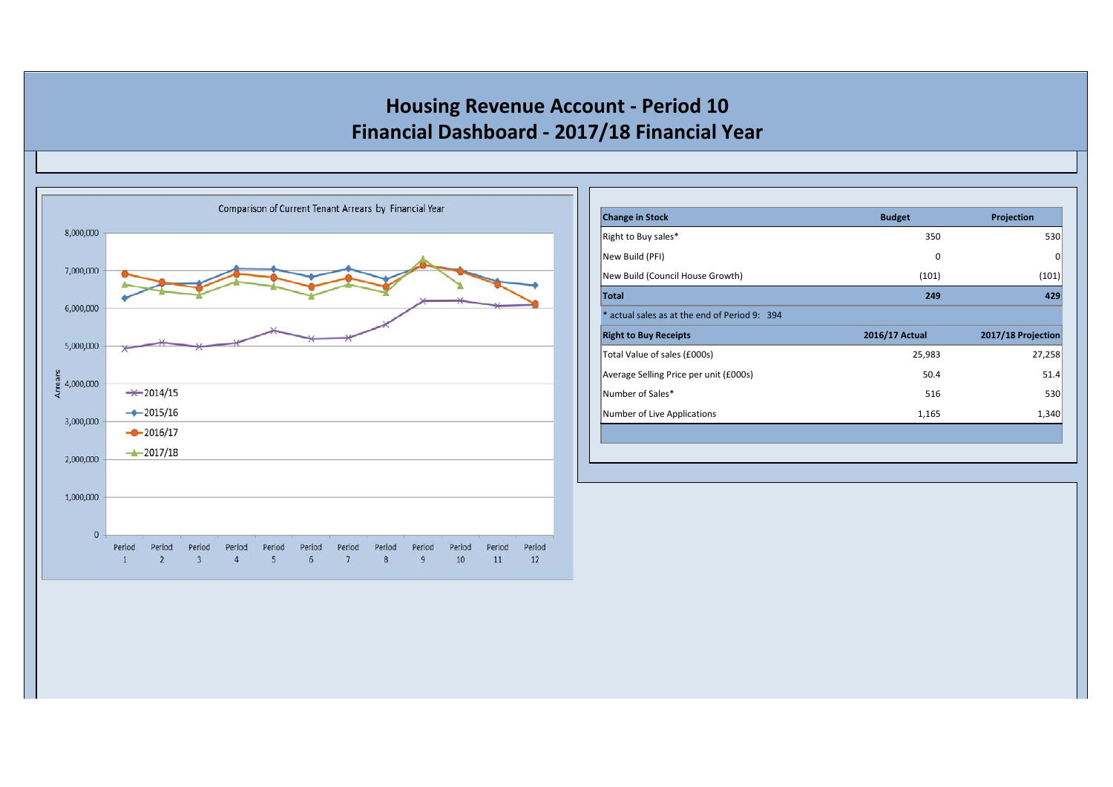

| <b>Change in Stock</b>                        | <b>Budget</b>  | Projection         |
|-----------------------------------------------|----------------|--------------------|
| Right to Buy sales*                           | 350            | 530                |
| New Build (PFI)                               | 0              | 0                  |
| New Build (Council House Growth)              | (101)          | (101)              |
| <b>Total</b>                                  | 249            | 429                |
| * actual sales as at the end of Period 9: 394 |                |                    |
| <b>Right to Buy Receipts</b>                  | 2016/17 Actual | 2017/18 Projection |
| Total Value of sales (£000s)                  | 25,983         | 27,258             |
| Average Selling Price per unit (£000s)        | 50.4           | 51.4               |
| Number of Sales*                              | 516            | 530                |
| Number of Live Applications                   | 1,165          | 1,340              |
|                                               |                |                    |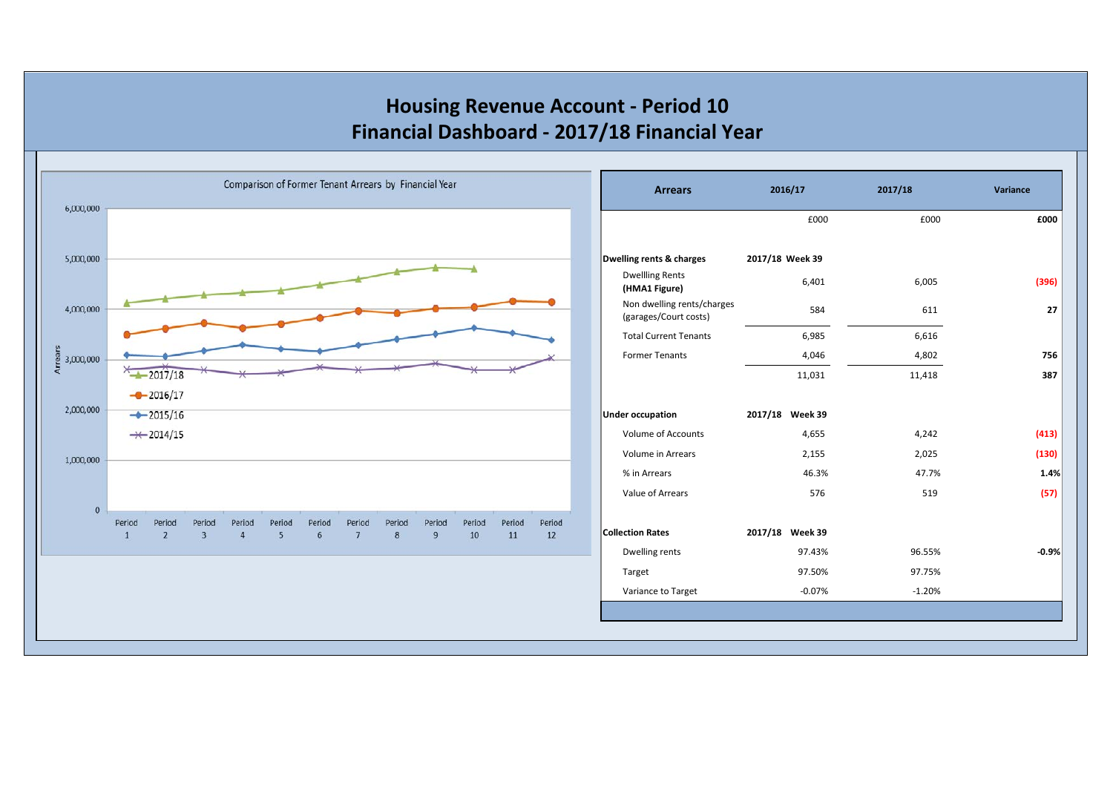